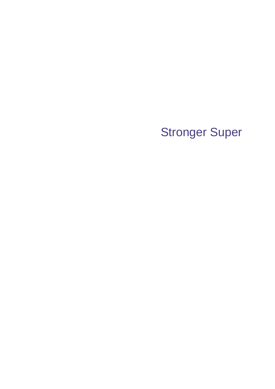# Stronger Super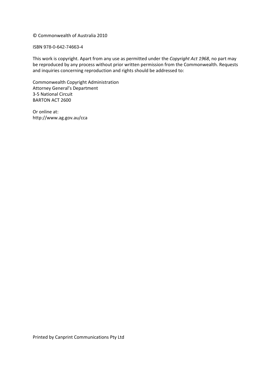### © Commonwealth of Australia 2010

#### ISBN 978-0-642-74663-4

  This work is copyright. Apart from any use as permitted under the *Copyright Act 1968*, no part may be reproduced by any process without prior written permission from the Commonwealth. Requests and inquiries concerning reproduction and rights should be addressed to:

 Commonwealth Copyright Administration Attorney General's Department 3‐5 National Circuit BARTON ACT 2600

 Or online at: http://www.ag.gov.au/cca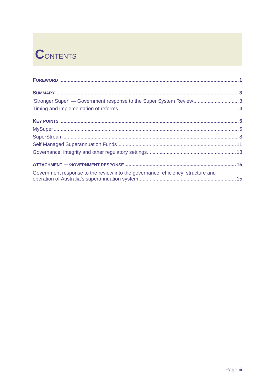# **CONTENTS**

| 'Stronger Super' — Government response to the Super System Review3               |  |
|----------------------------------------------------------------------------------|--|
|                                                                                  |  |
|                                                                                  |  |
|                                                                                  |  |
|                                                                                  |  |
|                                                                                  |  |
|                                                                                  |  |
|                                                                                  |  |
| Government response to the review into the governance, efficiency, structure and |  |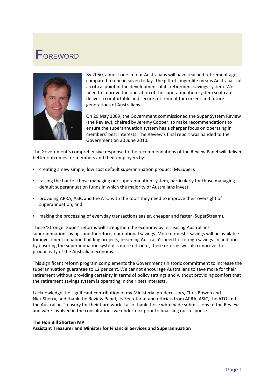# **F**OREWORD



 By 2050, almost one in four Australians will have reached retirement age, compared to one in seven today. The gift of longer life means Australia is at a critical point in the development of its retirement savings system. We need to improve the operation of the superannuation system so it can deliver a comfortable and secure retirement for current and future generations of Australians.

 On 29 May 2009, the Government commissioned the Super System Review (the Review), chaired by Jeremy Cooper, to make recommendations to ensure the superannuation system has a sharper focus on operating in members' best interests. The Review's final report was handed to the Government on 30 June 2010.

 The Government's comprehensive response to the recommendations of the Review Panel will deliver better outcomes for members and their employers by:

- creating a new simple, low cost default superannuation product (MySuper);
- raising the bar for those managing our superannuation system, particularly for those managing default superannuation funds in which the majority of Australians invest;
- providing APRA, ASIC and the ATO with the tools they need to improve their oversight of superannuation; and
- making the processing of everyday transactions easier, cheaper and faster (SuperStream).

 These 'Stronger Super' reforms will strengthen the economy by increasing Australians' superannuation savings and therefore, our national savings. More domestic savings will be available for investment in nation building projects, lessening Australia's need for foreign savings. In addition, by ensuring the superannuation system is more efficient, these reforms will also improve the productivity of the Australian economy.

 This significant reform program complements the Government's historic commitment to increase the superannuation guarantee to 12 per cent. We cannot encourage Australians to save more for their retirement without providing certainty in terms of policy settings and without providing comfort that the retirement savings system is operating in their best interests.

 I acknowledge the significant contribution of my Ministerial predecessors, Chris Bowen and Nick Sherry, and thank the Review Panel, its Secretariat and officials from APRA, ASIC, the ATO and the Australian Treasury for their hard work. I also thank those who made submissions to the Review and were involved in the consultations we undertook prior to finalising our response.

#### **The Hon Bill Shorten MP**

 **Assistant Treasurer and Minister for Financial Services and Superannuation**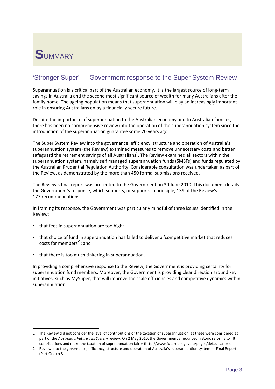

# 'Stronger Super' — Government response to the Super System Review

 Superannuation is a critical part of the Australian economy. It is the largest source of long‐term savings in Australia and the second most significant source of wealth for many Australians after the family home. The ageing population means that superannuation will play an increasingly important role in ensuring Australians enjoy a financially secure future.

 Despite the importance of superannuation to the Australian economy and to Australian families, there has been no comprehensive review into the operation of the superannuation system since the introduction of the superannuation guarantee some 20 years ago.

 The Super System Review into the governance, efficiency, structure and operation of Australia's superannuation system (the Review) examined measures to remove unnecessary costs and better safeguard the retirement savings of all Australians<sup>1</sup>. The Review examined all sectors within the superannuation system, namely self managed superannuation funds (SMSFs) and funds regulated by the Australian Prudential Regulation Authority. Considerable consultation was undertaken as part of the Review, as demonstrated by the more than 450 formal submissions received.

 The Review's final report was presented to the Government on 30 June 2010. This document details the Government's response, which supports, or supports in principle, 139 of the Review's 177 recommendations.

 In framing its response, the Government was particularly mindful of three issues identified in the Review:

• that fees in superannuation are too high;

- that choice of fund in superannuation has failed to deliver a 'competitive market that reduces costs for members<sup>'2</sup>; and
- that there is too much tinkering in superannuation.

 In providing a comprehensive response to the Review, the Government is providing certainty for superannuation fund members. Moreover, the Government is providing clear direction around key initiatives, such as MySuper, that will improve the scale efficiencies and competitive dynamics within superannuation.

 1 The Review did not consider the level of contributions or the taxation of superannuation, as these were considered as  part of the *Australia's Future Tax System* review. On 2 May 2010, the Government announced historic reforms to lift contributions and make the taxation of superannuation fairer (http://www.futuretax.gov.au/pages/default.aspx).

<sup>2</sup> Review into the governance, efficiency, structure and operation of Australia's superannuation system — Final Report (Part One) p 8.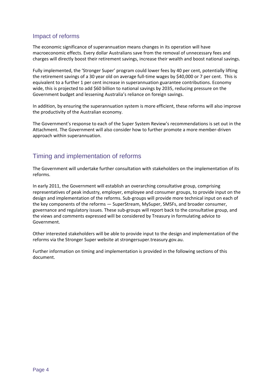# <span id="page-7-0"></span>Impact of reforms

 The economic significance of superannuation means changes in its operation will have macroeconomic effects. Every dollar Australians save from the removal of unnecessary fees and charges will directly boost their retirement savings, increase their wealth and boost national savings.

 Fully implemented, the 'Stronger Super' program could lower fees by 40 per cent, potentially lifting the retirement savings of a 30 year old on average full‐time wages by \$40,000 or 7 per cent. This is equivalent to a further 1 per cent increase in superannuation guarantee contributions. Economy wide, this is projected to add \$60 billion to national savings by 2035, reducing pressure on the Government budget and lessening Australia's reliance on foreign savings.

 In addition, by ensuring the superannuation system is more efficient, these reforms will also improve the productivity of the Australian economy.

 The Government's response to each of the Super System Review's recommendations is set out in the Attachment. The Government will also consider how to further promote a more member‐driven approach within superannuation.

# Timing and implementation of reforms

 The Government will undertake further consultation with stakeholders on the implementation of its reforms.

 In early 2011, the Government will establish an overarching consultative group, comprising representatives of peak industry, employer, employee and consumer groups, to provide input on the design and implementation of the reforms. Sub‐groups will provide more technical input on each of the key components of the reforms — SuperStream, MySuper, SMSFs, and broader consumer, governance and regulatory issues. These sub‐groups will report back to the consultative group, and the views and comments expressed will be considered by Treasury in formulating advice to Government.

 Other interested stakeholders will be able to provide input to the design and implementation of the reforms via the Stronger Super website at strongersuper.treasury.gov.au.

 Further information on timing and implementation is provided in the following sections of this document.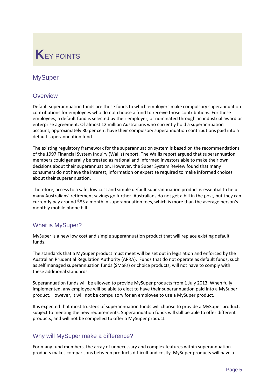# **K**EY POINTS

# **MySuper**

# **Overview**

 Default superannuation funds are those funds to which employers make compulsory superannuation contributions for employees who do not choose a fund to receive those contributions. For these employees, a default fund is selected by their employer, or nominated through an industrial award or enterprise agreement. Of almost 12 million Australians who currently hold a superannuation account, approximately 80 per cent have their compulsory superannuation contributions paid into a default superannuation fund.

 The existing regulatory framework for the superannuation system is based on the recommendations of the 1997 Financial System Inquiry (Wallis) report. The Wallis report argued that superannuation members could generally be treated as rational and informed investors able to make their own decisions about their superannuation. However, the Super System Review found that many consumers do not have the interest, information or expertise required to make informed choices about their superannuation.

 Therefore, access to a safe, low cost and simple default superannuation product is essential to help many Australians' retirement savings go further. Australians do not get a bill in the post, but they can currently pay around \$85 a month in superannuation fees, which is more than the average person's monthly mobile phone bill.

# What is MySuper?

 MySuper is a new low cost and simple superannuation product that will replace existing default funds.

 The standards that a MySuper product must meet will be set out in legislation and enforced by the Australian Prudential Regulation Authority (APRA). Funds that do not operate as default funds, such as self managed superannuation funds (SMSFs) or choice products, will not have to comply with these additional standards.

 Superannuation funds will be allowed to provide MySuper products from 1 July 2013. When fully implemented, any employee will be able to elect to have their superannuation paid into a MySuper product. However, it will not be compulsory for an employee to use a MySuper product.

 It is expected that most trustees of superannuation funds will choose to provide a MySuper product, subject to meeting the new requirements. Superannuation funds will still be able to offer different products, and will not be compelled to offer a MySuper product.

# Why will MySuper make a difference?

 For many fund members, the array of unnecessary and complex features within superannuation products makes comparisons between products difficult and costly. MySuper products will have a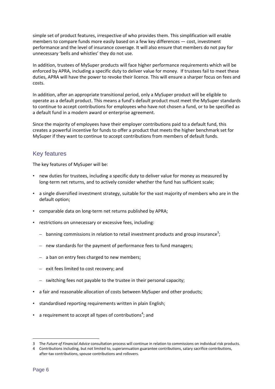simple set of product features, irrespective of who provides them. This simplification will enable members to compare funds more easily based on a few key differences — cost, investment performance and the level of insurance coverage. It will also ensure that members do not pay for unnecessary 'bells and whistles' they do not use.

 In addition, trustees of MySuper products will face higher performance requirements which will be enforced by APRA, including a specific duty to deliver value for money. If trustees fail to meet these duties, APRA will have the power to revoke their licence. This will ensure a sharper focus on fees and costs.

 In addition, after an appropriate transitional period, only a MySuper product will be eligible to operate as a default product. This means a fund's default product must meet the MySuper standards to continue to accept contributions for employees who have not chosen a fund, or to be specified as a default fund in a modern award or enterprise agreement.

 Since the majority of employees have their employer contributions paid to a default fund, this creates a powerful incentive for funds to offer a product that meets the higher benchmark set for MySuper if they want to continue to accept contributions from members of default funds.

# Key features

The key features of MySuper will be:

- new duties for trustees, including a specific duty to deliver value for money as measured by long‐term net returns, and to actively consider whether the fund has sufficient scale;
- • a single diversified investment strategy, suitable for the vast majority of members who are in the default option;
- comparable data on long-term net returns published by APRA;
- • restrictions on unnecessary or excessive fees, including:
	- $-$  banning commissions in relation to retail investment products and group insurance<sup>3</sup>;
	- new standards for the payment of performance fees to fund managers;
	- a ban on entry fees charged to new members;
	- exit fees limited to cost recovery; and

- switching fees not payable to the trustee in their personal capacity;
- a fair and reasonable allocation of costs between MySuper and other products;
- standardised reporting requirements written in plain English;
- a requirement to accept all types of contributions<sup>4</sup>; and

  3 The *Future of Financial Advice* consultation process will continue in relation to commissions on individual risk products.

 4 Contributions including, but not limited to, superannuation guarantee contributions, salary sacrifice contributions, after‐tax contributions, spouse contributions and rollovers.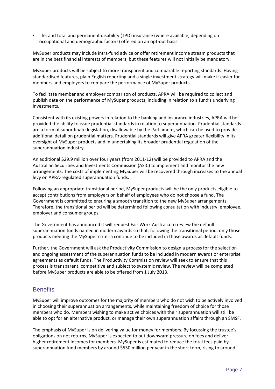• life, and total and permanent disability (TPD) insurance (where available, depending on occupational and demographic factors) offered on an opt‐out basis.

 MySuper products may include intra‐fund advice or offer retirement income stream products that are in the best financial interests of members, but these features will not initially be mandatory.

 MySuper products will be subject to more transparent and comparable reporting standards. Having standardised features, plain English reporting and a single investment strategy will make it easier for members and employers to compare the performance of MySuper products.

 To facilitate member and employer comparison of products, APRA will be required to collect and publish data on the performance of MySuper products, including in relation to a fund's underlying investments.

 Consistent with its existing powers in relation to the banking and insurance industries, APRA will be provided the ability to issue prudential standards in relation to superannuation. Prudential standards are a form of subordinate legislation, disallowable by the Parliament, which can be used to provide additional detail on prudential matters. Prudential standards will give APRA greater flexibility in its oversight of MySuper products and in undertaking its broader prudential regulation of the superannuation industry.

 An additional \$29.9 million over four years (from 2011‐12) will be provided to APRA and the Australian Securities and Investments Commission (ASIC) to implement and monitor the new arrangements. The costs of implementing MySuper will be recovered through increases to the annual levy on APRA‐regulated superannuation funds.

 Following an appropriate transitional period, MySuper products will be the only products eligible to accept contributions from employers on behalf of employees who do not choose a fund. The Government is committed to ensuring a smooth transition to the new MySuper arrangements. Therefore, the transitional period will be determined following consultation with industry, employee, employer and consumer groups.

 The Government has announced it will request Fair Work Australia to review the default superannuation funds named in modern awards so that, following the transitional period, only those products meeting the MySuper criteria continue to be included in those awards as default funds.

 Further, the Government will ask the Productivity Commission to design a process for the selection and ongoing assessment of the superannuation funds to be included in modern awards or enterprise agreements as default funds. The Productivity Commission review will seek to ensure that this process is transparent, competitive and subject to systemic review. The review will be completed before MySuper products are able to be offered from 1 July 2013.

# **Benefits**

 MySuper will improve outcomes for the majority of members who do not wish to be actively involved in choosing their superannuation arrangements, while maintaining freedom of choice for those members who do. Members wishing to make active choices with their superannuation will still be able to opt for an alternative product, or manage their own superannuation affairs through an SMSF.

 The emphasis of MySuper is on delivering value for money for members. By focussing the trustee's obligations on net returns, MySuper is expected to put downward pressure on fees and deliver higher retirement incomes for members. MySuper is estimated to reduce the total fees paid by superannuation fund members by around \$550 million per year in the short term, rising to around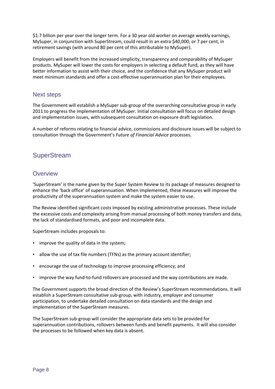<span id="page-11-0"></span> \$1.7 billion per year over the longer term. For a 30 year old worker on average weekly earnings, MySuper, in conjunction with SuperStream, could result in an extra \$40,000, or 7 per cent, in retirement savings (with around 80 per cent of this attributable to MySuper).

 Employers will benefit from the increased simplicity, transparency and comparability of MySuper products. MySuper will lower the costs for employers in selecting a default fund, as they will have better information to assist with their choice, and the confidence that any MySuper product will meet minimum standards and offer a cost‐effective superannuation plan for their employees.

# Next steps

 The Government will establish a MySuper sub‐group of the overarching consultative group in early 2011 to progress the implementation of MySuper. Initial consultation will focus on detailed design and implementation issues, with subsequent consultation on exposure draft legislation.

 A number of reforms relating to financial advice, commissions and disclosure issues will be subject to  consultation through the Government's *Future of Financial Advice* processes.

# **SuperStream**

# **Overview**

 'SuperStream' is the name given by the Super System Review to its package of measures designed to enhance the 'back office' of superannuation. When implemented, these measures will improve the productivity of the superannuation system and make the system easier to use.

 The Review identified significant costs imposed by existing administrative processes. These include the excessive costs and complexity arising from manual processing of both money transfers and data, the lack of standardised formats, and poor and incomplete data.

SuperStream includes proposals to:

- improve the quality of data in the system;
- allow the use of tax file numbers (TFNs) as the primary account identifier;
- encourage the use of technology to improve processing efficiency; and
- improve the way fund-to-fund rollovers are processed and the way contributions are made.

 The Government supports the broad direction of the Review's SuperStream recommendations. It will establish a SuperStream consultative sub‐group, with industry, employer and consumer participation, to undertake detailed consultation on data standards and the design and implementation of the SuperStream measures.

 The SuperStream sub‐group will consider the appropriate data sets to be provided for superannuation contributions, rollovers between funds and benefit payments. It will also consider the processes to be followed when key data is absent.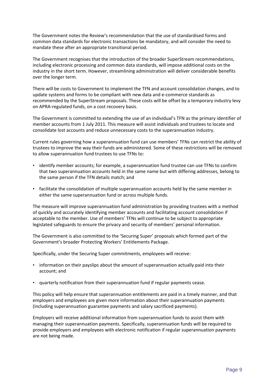The Government notes the Review's recommendation that the use of standardised forms and common data standards for electronic transactions be mandatory, and will consider the need to mandate these after an appropriate transitional period.

 The Government recognises that the introduction of the broader SuperStream recommendations, including electronic processing and common data standards, will impose additional costs on the industry in the short term. However, streamlining administration will deliver considerable benefits over the longer term.

 There will be costs to Government to implement the TFN and account consolidation changes, and to update systems and forms to be compliant with new data and e‐commerce standards as recommended by the SuperStream proposals. These costs will be offset by a temporary industry levy on APRA‐regulated funds, on a cost recovery basis.

 The Government is committed to extending the use of an individual's TFN as the primary identifier of member accounts from 1 July 2011. This measure will assist individuals and trustees to locate and consolidate lost accounts and reduce unnecessary costs to the superannuation industry.

 Current rules governing how a superannuation fund can use members' TFNs can restrict the ability of trustees to improve the way their funds are administered. Some of these restrictions will be removed to allow superannuation fund trustees to use TFNs to:

- identify member accounts; for example, a superannuation fund trustee can use TFNs to confirm that two superannuation accounts held in the same name but with differing addresses, belong to the same person if the TFN details match; and
- facilitate the consolidation of multiple superannuation accounts held by the same member in either the same superannuation fund or across multiple funds.

 The measure will improve superannuation fund administration by providing trustees with a method of quickly and accurately identifying member accounts and facilitating account consolidation if acceptable to the member. Use of members' TFNs will continue to be subject to appropriate legislated safeguards to ensure the privacy and security of members' personal information.

 The Government is also committed to the 'Securing Super' proposals which formed part of the Government's broader Protecting Workers' Entitlements Package.

Specifically, under the Securing Super commitments, employees will receive:

- information on their payslips about the amount of superannuation actually paid into their account; and
- • quarterly notification from their superannuation fund if regular payments cease.

 This policy will help ensure that superannuation entitlements are paid in a timely manner, and that employers and employees are given more information about their superannuation payments (including superannuation guarantee payments and salary sacrificed payments).

 Employers will receive additional information from superannuation funds to assist them with managing their superannuation payments. Specifically, superannuation funds will be required to provide employers and employees with electronic notification if regular superannuation payments are not being made.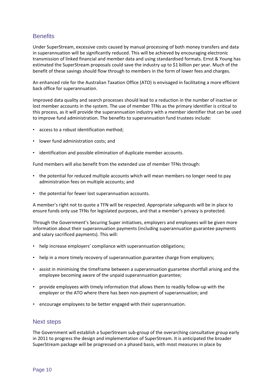# **Benefits**

 Under SuperStream, excessive costs caused by manual processing of both money transfers and data in superannuation will be significantly reduced. This will be achieved by encouraging electronic transmission of linked financial and member data and using standardised formats. Ernst & Young has estimated the SuperStream proposals could save the industry up to \$1 billion per year. Much of the benefit of these savings should flow through to members in the form of lower fees and charges.

 An enhanced role for the Australian Taxation Office (ATO) is envisaged in facilitating a more efficient back office for superannuation.

 Improved data quality and search processes should lead to a reduction in the number of inactive or lost member accounts in the system. The use of member TFNs as the primary identifier is critical to this process, as it will provide the superannuation industry with a member identifier that can be used to improve fund administration. The benefits to superannuation fund trustees include:

- access to a robust identification method;
- • lower fund administration costs; and
- • identification and possible elimination of duplicate member accounts.

Fund members will also benefit from the extended use of member TFNs through:

- the potential for reduced multiple accounts which will mean members no longer need to pay administration fees on multiple accounts; and
- • the potential for fewer lost superannuation accounts.

 A member's right not to quote a TFN will be respected. Appropriate safeguards will be in place to ensure funds only use TFNs for legislated purposes, and that a member's privacy is protected.

 Through the Government's Securing Super initiatives, employers and employees will be given more information about their superannuation payments (including superannuation guarantee payments and salary sacrificed payments). This will:

- help increase employers' compliance with superannuation obligations;
- help in a more timely recovery of superannuation guarantee charge from employers;
- • assist in minimising the timeframe between a superannuation guarantee shortfall arising and the employee becoming aware of the unpaid superannuation guarantee;
- provide employees with timely information that allows them to readily follow-up with the employer or the ATO where there has been non‐payment of superannuation; and
- • encourage employees to be better engaged with their superannuation.

# Next steps

 The Government will establish a SuperStream sub‐group of the overarching consultative group early in 2011 to progress the design and implementation of SuperStream. It is anticipated the broader SuperStream package will be progressed on a phased basis, with most measures in place by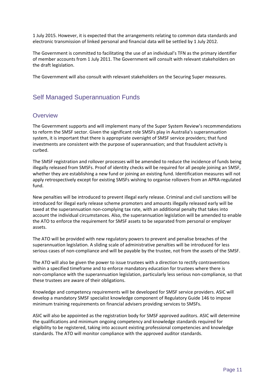1 July 2015. However, it is expected that the arrangements relating to common data standards and electronic transmission of linked personal and financial data will be settled by 1 July 2012.

 The Government is committed to facilitating the use of an individual's TFN as the primary identifier of member accounts from 1 July 2011. The Government will consult with relevant stakeholders on the draft legislation.

The Government will also consult with relevant stakeholders on the Securing Super measures.

# Self Managed Superannuation Funds

# **Overview**

 The Government supports and will implement many of the Super System Review's recommendations to reform the SMSF sector. Given the significant role SMSFs play in Australia's superannuation system, it is important that there is appropriate oversight of SMSF service providers; that fund investments are consistent with the purpose of superannuation; and that fraudulent activity is curbed.

 The SMSF registration and rollover processes will be amended to reduce the incidence of funds being illegally released from SMSFs. Proof of identity checks will be required for all people joining an SMSF, whether they are establishing a new fund or joining an existing fund. Identification measures will not apply retrospectively except for existing SMSFs wishing to organise rollovers from an APRA‐regulated fund.

 New penalties will be introduced to prevent illegal early release. Criminal and civil sanctions will be introduced for illegal early release scheme promoters and amounts illegally released early will be taxed at the superannuation non‐complying tax rate, with an additional penalty that takes into account the individual circumstances. Also, the superannuation legislation will be amended to enable the ATO to enforce the requirement for SMSF assets to be separated from personal or employer assets.

 The ATO will be provided with new regulatory powers to prevent and penalise breaches of the superannuation legislation. A sliding scale of administrative penalties will be introduced for less serious cases of non‐compliance and will be payable by the trustee, not from the assets of the SMSF.

 The ATO will also be given the power to issue trustees with a direction to rectify contraventions within a specified timeframe and to enforce mandatory education for trustees where there is non‐compliance with the superannuation legislation, particularly less serious non‐compliance, so that these trustees are aware of their obligations.

 Knowledge and competency requirements will be developed for SMSF service providers. ASIC will develop a mandatory SMSF specialist knowledge component of Regulatory Guide 146 to impose minimum training requirements on financial advisers providing services to SMSFs.

 ASIC will also be appointed as the registration body for SMSF approved auditors. ASIC will determine the qualifications and minimum ongoing competency and knowledge standards required for eligibility to be registered, taking into account existing professional competencies and knowledge standards. The ATO will monitor compliance with the approved auditor standards.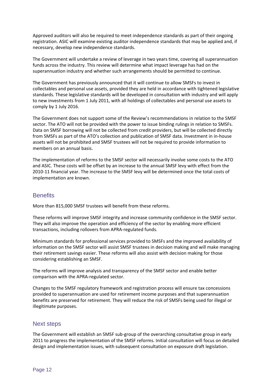Approved auditors will also be required to meet independence standards as part of their ongoing registration. ASIC will examine existing auditor independence standards that may be applied and, if necessary, develop new independence standards.

 The Government will undertake a review of leverage in two years time, covering all superannuation funds across the industry. This review will determine what impact leverage has had on the superannuation industry and whether such arrangements should be permitted to continue.

 The Government has previously announced that it will continue to allow SMSFs to invest in collectables and personal use assets, provided they are held in accordance with tightened legislative standards. These legislative standards will be developed in consultation with industry and will apply to new investments from 1 July 2011, with all holdings of collectables and personal use assets to comply by 1 July 2016.

 The Government does not support some of the Review's recommendations in relation to the SMSF sector. The ATO will not be provided with the power to issue binding rulings in relation to SMSFs. Data on SMSF borrowing will not be collected from credit providers, but will be collected directly from SMSFs as part of the ATO's collection and publication of SMSF data. Investment in in‐house assets will not be prohibited and SMSF trustees will not be required to provide information to members on an annual basis.

 The implementation of reforms to the SMSF sector will necessarily involve some costs to the ATO and ASIC. These costs will be offset by an increase to the annual SMSF levy with effect from the 2010-11 financial year. The increase to the SMSF levy will be determined once the total costs of implementation are known.

# **Benefits**

More than 815,000 SMSF trustees will benefit from these reforms.

 These reforms will improve SMSF integrity and increase community confidence in the SMSF sector. They will also improve the operation and efficiency of the sector by enabling more efficient transactions, including rollovers from APRA‐regulated funds.

 Minimum standards for professional services provided to SMSFs and the improved availability of information on the SMSF sector will assist SMSF trustees in decision making and will make managing their retirement savings easier. These reforms will also assist with decision making for those considering establishing an SMSF.

 The reforms will improve analysis and transparency of the SMSF sector and enable better comparison with the APRA‐regulated sector.

 Changes to the SMSF regulatory framework and registration process will ensure tax concessions provided to superannuation are used for retirement income purposes and that superannuation benefits are preserved for retirement. They will reduce the risk of SMSFs being used for illegal or illegitimate purposes.

# Next steps

 The Government will establish an SMSF sub‐group of the overarching consultative group in early 2011 to progress the implementation of the SMSF reforms. Initial consultation will focus on detailed design and implementation issues, with subsequent consultation on exposure draft legislation.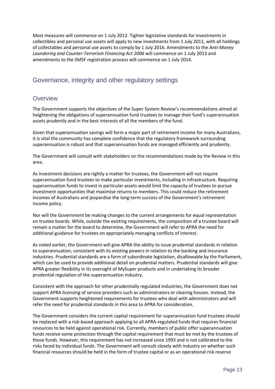Most measures will commence on 1 July 2012. Tighter legislative standards for investments in collectibles and personal use assets will apply to new investments from 1 July 2011, with all holdings of collectables and personal use assets to comply by 1 July 2016. Amendments to the *Anti‐Money Laundering and Counter‐Terrorism Financing Act 2006* will commence on 1 July 2013 and amendments to the SMSF registration process will commence on 1 July 2014.

# Governance, integrity and other regulatory settings

# **Overview**

 The Government supports the objectives of the Super System Review's recommendations aimed at heightening the obligations of superannuation fund trustees to manage their fund's superannuation assets prudently and in the best interests of all the members of the fund.

 Given that superannuation savings will form a major part of retirement income for many Australians, it is vital the community has complete confidence that the regulatory framework surrounding superannuation is robust and that superannuation funds are managed efficiently and prudently.

 The Government will consult with stakeholders on the recommendations made by the Review in this area.

 As investment decisions are rightly a matter for trustees, the Government will not require superannuation fund trustees to make particular investments, including in infrastructure. Requiring superannuation funds to invest in particular assets would limit the capacity of trustees to pursue investment opportunities that maximise returns to members. This could reduce the retirement incomes of Australians and jeopardise the long‐term success of the Government's retirement income policy.

 Nor will the Government be making changes to the current arrangements for equal representation on trustee boards. While, outside the existing requirements, the composition of a trustee board will remain a matter for the board to determine, the Government will refer to APRA the need for additional guidance for trustees on appropriately managing conflicts of interest.

 As noted earlier, the Government will give APRA the ability to issue prudential standards in relation to superannuation, consistent with its existing powers in relation to the banking and insurance industries. Prudential standards are a form of subordinate legislation, disallowable by the Parliament, which can be used to provide additional detail on prudential matters. Prudential standards will give APRA greater flexibility in its oversight of MySuper products and in undertaking its broader prudential regulation of the superannuation industry.

 Consistent with the approach for other prudentially regulated industries, the Government does not support APRA licensing of service providers such as administrators or clearing houses. Instead, the Government supports heightened requirements for trustees who deal with administrators and will refer the need for prudential standards in this area to APRA for consideration.

 The Government considers the current capital requirement for superannuation fund trustees should be replaced with a risk‐based approach applying to all APRA‐regulated funds that requires financial resources to be held against operational risk. Currently, members of public offer superannuation funds receive some protection through the capital requirement that must be met by the trustees of those funds. However, this requirement has not increased since 1993 and is not calibrated to the risks faced by individual funds. The Government will consult closely with industry on whether such financial resources should be held in the form of trustee capital or as an operational risk reserve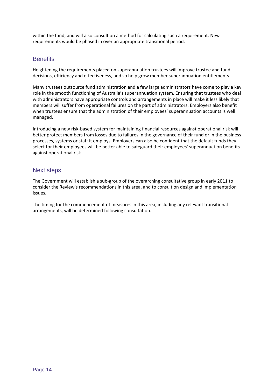within the fund, and will also consult on a method for calculating such a requirement. New requirements would be phased in over an appropriate transitional period.

# **Benefits**

 Heightening the requirements placed on superannuation trustees will improve trustee and fund decisions, efficiency and effectiveness, and so help grow member superannuation entitlements.

 Many trustees outsource fund administration and a few large administrators have come to play a key role in the smooth functioning of Australia's superannuation system. Ensuring that trustees who deal with administrators have appropriate controls and arrangements in place will make it less likely that members will suffer from operational failures on the part of administrators. Employers also benefit when trustees ensure that the administration of their employees' superannuation accounts is well managed.

 Introducing a new risk‐based system for maintaining financial resources against operational risk will better protect members from losses due to failures in the governance of their fund or in the business processes, systems or staff it employs. Employers can also be confident that the default funds they select for their employees will be better able to safeguard their employees' superannuation benefits against operational risk.

# Next steps

 The Government will establish a sub‐group of the overarching consultative group in early 2011 to consider the Review's recommendations in this area, and to consult on design and implementation issues.

 The timing for the commencement of measures in this area, including any relevant transitional arrangements, will be determined following consultation.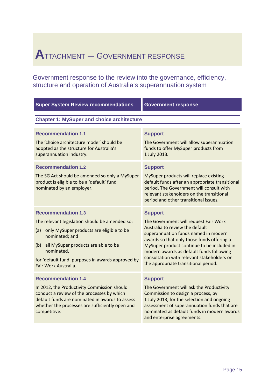# **A**TTACHMENT — GOVERNMENT RESPONSE

Government response to the review into the governance, efficiency, structure and operation of Australia's superannuation system

| <b>Super System Review recommendations</b>                                                                                                                                                                                                                                                | <b>Government response</b>                                                                                                                                                                                                                                                                                                                                       |  |
|-------------------------------------------------------------------------------------------------------------------------------------------------------------------------------------------------------------------------------------------------------------------------------------------|------------------------------------------------------------------------------------------------------------------------------------------------------------------------------------------------------------------------------------------------------------------------------------------------------------------------------------------------------------------|--|
| <b>Chapter 1: MySuper and choice architecture</b>                                                                                                                                                                                                                                         |                                                                                                                                                                                                                                                                                                                                                                  |  |
| <b>Recommendation 1.1</b><br>The 'choice architecture model' should be<br>adopted as the structure for Australia's<br>superannuation industry.                                                                                                                                            | <b>Support</b><br>The Government will allow superannuation<br>funds to offer MySuper products from<br>1 July 2013.                                                                                                                                                                                                                                               |  |
| <b>Recommendation 1.2</b><br>The SG Act should be amended so only a MySuper<br>product is eligible to be a 'default' fund<br>nominated by an employer.                                                                                                                                    | <b>Support</b><br>MySuper products will replace existing<br>default funds after an appropriate transitional<br>period. The Government will consult with<br>relevant stakeholders on the transitional<br>period and other transitional issues.                                                                                                                    |  |
| <b>Recommendation 1.3</b><br>The relevant legislation should be amended so:<br>only MySuper products are eligible to be<br>(a)<br>nominated; and<br>all MySuper products are able to be<br>(b)<br>nominated,<br>for 'default fund' purposes in awards approved by<br>Fair Work Australia. | <b>Support</b><br>The Government will request Fair Work<br>Australia to review the default<br>superannuation funds named in modern<br>awards so that only those funds offering a<br>MySuper product continue to be included in<br>modern awards as default funds following<br>consultation with relevant stakeholders on<br>the appropriate transitional period. |  |
| <b>Recommendation 1.4</b><br>In 2012, the Productivity Commission should<br>conduct a review of the processes by which<br>default funds are nominated in awards to assess<br>whether the processes are sufficiently open and<br>competitive.                                              | <b>Support</b><br>The Government will ask the Productivity<br>Commission to design a process, by<br>1 July 2013, for the selection and ongoing<br>assessment of superannuation funds that are<br>nominated as default funds in modern awards<br>and enterprise agreements.                                                                                       |  |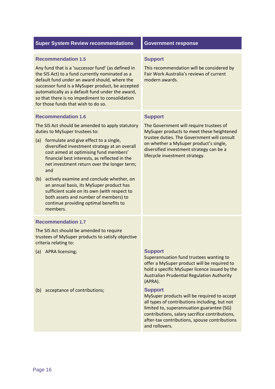|            | <b>Super System Review recommendations</b>                                                                                                                                                                                                                                                                                                                                                                                                                                                                                                                                                          | <b>Government response</b>                                                                                                                                                                                                                                                    |
|------------|-----------------------------------------------------------------------------------------------------------------------------------------------------------------------------------------------------------------------------------------------------------------------------------------------------------------------------------------------------------------------------------------------------------------------------------------------------------------------------------------------------------------------------------------------------------------------------------------------------|-------------------------------------------------------------------------------------------------------------------------------------------------------------------------------------------------------------------------------------------------------------------------------|
|            | <b>Recommendation 1.5</b><br>Any fund that is a 'successor fund' (as defined in<br>the SIS Act) to a fund currently nominated as a<br>default fund under an award should, where the<br>successor fund is a MySuper product, be accepted<br>automatically as a default fund under the award,<br>so that there is no impediment to consolidation<br>for those funds that wish to do so.                                                                                                                                                                                                               | <b>Support</b><br>This recommendation will be considered by<br>Fair Work Australia's reviews of current<br>modern awards.                                                                                                                                                     |
| (a)<br>(b) | <b>Recommendation 1.6</b><br>The SIS Act should be amended to apply statutory<br>duties to MySuper trustees to:<br>formulate and give effect to a single,<br>diversified investment strategy at an overall<br>cost aimed at optimising fund members'<br>financial best interests, as reflected in the<br>net investment return over the longer term;<br>and<br>actively examine and conclude whether, on<br>an annual basis, its MySuper product has<br>sufficient scale on its own (with respect to<br>both assets and number of members) to<br>continue providing optimal benefits to<br>members. | <b>Support</b><br>The Government will require trustees of<br>MySuper products to meet these heightened<br>trustee duties. The Government will consult<br>on whether a MySuper product's single,<br>diversified investment strategy can be a<br>lifecycle investment strategy. |
| (a)<br>(b) | <b>Recommendation 1.7</b><br>The SIS Act should be amended to require<br>trustees of MySuper products to satisfy objective<br>criteria relating to:<br><b>APRA licensing;</b><br>acceptance of contributions;                                                                                                                                                                                                                                                                                                                                                                                       | <b>Support</b><br>Superannuation fund trustees wanting to<br>offer a MySuper product will be required to<br>hold a specific MySuper licence issued by the<br><b>Australian Prudential Regulation Authority</b><br>(APRA).<br><b>Support</b>                                   |
|            |                                                                                                                                                                                                                                                                                                                                                                                                                                                                                                                                                                                                     | MySuper products will be required to accept<br>all types of contributions including, but not<br>limited to, superannuation guarantee (SG)<br>contributions, salary sacrifice contributions,<br>after-tax contributions, spouse contributions<br>and rollovers.                |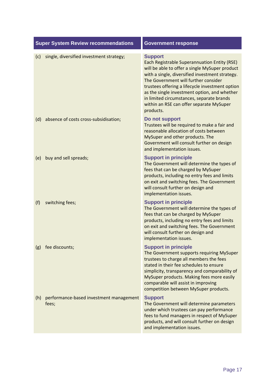|     | <b>Super System Review recommendations</b>       | <b>Government response</b>                                                                                                                                                                                                                                                                                                                                                                                           |
|-----|--------------------------------------------------|----------------------------------------------------------------------------------------------------------------------------------------------------------------------------------------------------------------------------------------------------------------------------------------------------------------------------------------------------------------------------------------------------------------------|
| (c) | single, diversified investment strategy;         | <b>Support</b><br>Each Registrable Superannuation Entity (RSE)<br>will be able to offer a single MySuper product<br>with a single, diversified investment strategy.<br>The Government will further consider<br>trustees offering a lifecycle investment option<br>as the single investment option, and whether<br>in limited circumstances, separate brands<br>within an RSE can offer separate MySuper<br>products. |
| (d) | absence of costs cross-subsidisation;            | Do not support<br>Trustees will be required to make a fair and<br>reasonable allocation of costs between<br>MySuper and other products. The<br>Government will consult further on design<br>and implementation issues.                                                                                                                                                                                               |
| (e) | buy and sell spreads;                            | <b>Support in principle</b><br>The Government will determine the types of<br>fees that can be charged by MySuper<br>products, including no entry fees and limits<br>on exit and switching fees. The Government<br>will consult further on design and<br>implementation issues.                                                                                                                                       |
| (f) | switching fees;                                  | <b>Support in principle</b><br>The Government will determine the types of<br>fees that can be charged by MySuper<br>products, including no entry fees and limits<br>on exit and switching fees. The Government<br>will consult further on design and<br>implementation issues.                                                                                                                                       |
| (g) | fee discounts;                                   | <b>Support in principle</b><br>The Government supports requiring MySuper<br>trustees to charge all members the fees<br>stated in their fee schedules to ensure<br>simplicity, transparency and comparability of<br>MySuper products. Making fees more easily<br>comparable will assist in improving<br>competition between MySuper products.                                                                         |
| (h) | performance-based investment management<br>fees; | <b>Support</b><br>The Government will determine parameters<br>under which trustees can pay performance<br>fees to fund managers in respect of MySuper<br>products, and will consult further on design<br>and implementation issues.                                                                                                                                                                                  |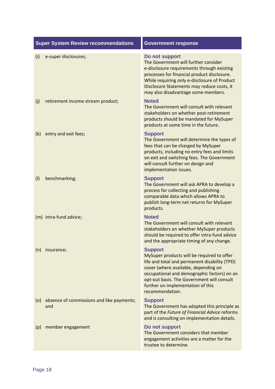|     | <b>Super System Review recommendations</b>       | <b>Government response</b>                                                                                                                                                                                                                                                                                 |
|-----|--------------------------------------------------|------------------------------------------------------------------------------------------------------------------------------------------------------------------------------------------------------------------------------------------------------------------------------------------------------------|
| (i) | e-super disclosures;                             | Do not support<br>The Government will further consider<br>e-disclosure requirements through existing<br>processes for financial product disclosure.<br>While requiring only e-disclosure of Product<br>Disclosure Statements may reduce costs, it<br>may also disadvantage some members.                   |
| (j) | retirement income stream product;                | <b>Noted</b><br>The Government will consult with relevant<br>stakeholders on whether post-retirement<br>products should be mandated for MySuper<br>products at some time in the future.                                                                                                                    |
| (k) | entry and exit fees;                             | <b>Support</b><br>The Government will determine the types of<br>fees that can be charged by MySuper<br>products, including no entry fees and limits<br>on exit and switching fees. The Government<br>will consult further on design and<br>implementation issues.                                          |
| (1) | benchmarking;                                    | <b>Support</b><br>The Government will ask APRA to develop a<br>process for collecting and publishing<br>comparable data which allows APRA to<br>publish long-term net returns for MySuper<br>products.                                                                                                     |
|     | (m) intra-fund advice;                           | <b>Noted</b><br>The Government will consult with relevant<br>stakeholders on whether MySuper products<br>should be required to offer intra-fund advice<br>and the appropriate timing of any change.                                                                                                        |
| (n) | insurance;                                       | <b>Support</b><br>MySuper products will be required to offer<br>life and total and permanent disability (TPD)<br>cover (where available, depending on<br>occupational and demographic factors) on an<br>opt-out basis. The Government will consult<br>further on implementation of this<br>recommendation. |
| (o) | absence of commissions and like payments;<br>and | <b>Support</b><br>The Government has adopted this principle as<br>part of the Future of Financial Advice reforms<br>and is consulting on implementation details.                                                                                                                                           |
| (p) | member engagement                                | Do not support<br>The Government considers that member<br>engagement activities are a matter for the<br>trustee to determine.                                                                                                                                                                              |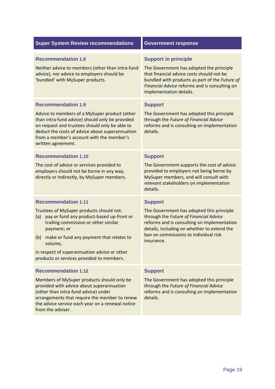| <b>Super System Review recommendations</b>                                                                                                                                                                                                                                                                                                   | <b>Government response</b>                                                                                                                                                                                                                                 |
|----------------------------------------------------------------------------------------------------------------------------------------------------------------------------------------------------------------------------------------------------------------------------------------------------------------------------------------------|------------------------------------------------------------------------------------------------------------------------------------------------------------------------------------------------------------------------------------------------------------|
| <b>Recommendation 1.8</b><br>Neither advice to members (other than intra-fund<br>advice), nor advice to employers should be<br>'bundled' with MySuper products.                                                                                                                                                                              | <b>Support in principle</b><br>The Government has adopted the principle<br>that financial advice costs should not be<br>bundled with products as part of the Future of<br>Financial Advice reforms and is consulting on<br>implementation details.         |
| <b>Recommendation 1.9</b><br>Advice to members of a MySuper product (other<br>than intra-fund advice) should only be provided<br>on request and trustees should only be able to<br>deduct the costs of advice about superannuation<br>from a member's account with the member's<br>written agreement.                                        | <b>Support</b><br>The Government has adopted this principle<br>through the Future of Financial Advice<br>reforms and is consulting on implementation<br>details.                                                                                           |
| <b>Recommendation 1.10</b><br>The cost of advice or services provided to<br>employers should not be borne in any way,<br>directly or indirectly, by MySuper members.                                                                                                                                                                         | <b>Support</b><br>The Government supports the cost of advice<br>provided to employers not being borne by<br>MySuper members, and will consult with<br>relevant stakeholders on implementation<br>details.                                                  |
| <b>Recommendation 1.11</b><br>Trustees of MySuper products should not:<br>pay or fund any product-based up-front or<br>(a)<br>trailing commission or other similar<br>payment; or<br>make or fund any payment that relates to<br>(b)<br>volume,<br>in respect of superannuation advice or other<br>products or services provided to members. | <b>Support</b><br>The Government has adopted this principle<br>through the Future of Financial Advice<br>reforms and is consulting on implementation<br>details, including on whether to extend the<br>ban on commissions to individual risk<br>insurance. |
| <b>Recommendation 1.12</b><br>Members of MySuper products should only be<br>provided with advice about superannuation<br>(other than intra-fund advice) under<br>arrangements that require the member to renew<br>the advice service each year on a renewal notice<br>from the adviser.                                                      | <b>Support</b><br>The Government has adopted this principle<br>through the Future of Financial Advice<br>reforms and is consulting on implementation<br>details.                                                                                           |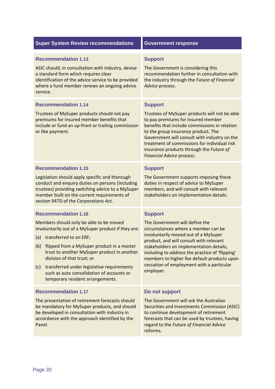| <b>Super System Review recommendations</b>                                                                                                                                                                                                                                                                                                                                                                                         | <b>Government response</b>                                                                                                                                                                                                                                                                                                                                                        |
|------------------------------------------------------------------------------------------------------------------------------------------------------------------------------------------------------------------------------------------------------------------------------------------------------------------------------------------------------------------------------------------------------------------------------------|-----------------------------------------------------------------------------------------------------------------------------------------------------------------------------------------------------------------------------------------------------------------------------------------------------------------------------------------------------------------------------------|
| <b>Recommendation 1.13</b><br>ASIC should, in consultation with industry, devise<br>a standard form which requires clear<br>identification of the advice service to be provided<br>where a fund member renews an ongoing advice<br>service.                                                                                                                                                                                        | <b>Support</b><br>The Government is considering this<br>recommendation further in consultation with<br>the industry through the Future of Financial<br>Advice process.                                                                                                                                                                                                            |
| <b>Recommendation 1.14</b><br>Trustees of MySuper products should not pay<br>premiums for insured member benefits that<br>include or fund an up-front or trailing commission<br>or like payment.                                                                                                                                                                                                                                   | <b>Support</b><br>Trustees of MySuper products will not be able<br>to pay premiums for insured member<br>benefits that include commissions in relation<br>to the group insurance product. The<br>Government will consult with industry on the<br>treatment of commissions for individual risk<br>insurance products through the Future of<br>Financial Advice process.            |
| <b>Recommendation 1.15</b><br>Legislation should apply specific and thorough<br>conduct and enquiry duties on persons (including<br>trustees) providing switching advice to a MySuper<br>member built on the current requirements of<br>section 947D of the Corporations Act.                                                                                                                                                      | <b>Support</b><br>The Government supports imposing these<br>duties in respect of advice to MySuper<br>members, and will consult with relevant<br>stakeholders on implementation details.                                                                                                                                                                                          |
| <b>Recommendation 1.16</b><br>Members should only be able to be moved<br>involuntarily out of a MySuper product if they are:<br>(a) transferred to an ERF;<br>(b)<br>flipped from a MySuper product in a master<br>trust to another MySuper product in another<br>division of that trust; or<br>transferred under legislative requirements<br>(c)<br>such as auto consolidation of accounts or<br>temporary resident arrangements. | <b>Support</b><br>The Government will define the<br>circumstances where a member can be<br>involuntarily moved out of a MySuper<br>product, and will consult with relevant<br>stakeholders on implementation details,<br>including to address the practice of 'flipping'<br>members to higher fee default products upon<br>cessation of employment with a particular<br>employer. |
| <b>Recommendation 1.17</b><br>The presentation of retirement forecasts should<br>be mandatory for MySuper products, and should<br>be developed in consultation with industry in<br>accordance with the approach identified by the<br>Panel.                                                                                                                                                                                        | Do not support<br>The Government will ask the Australian<br>Securities and Investments Commission (ASIC)<br>to continue development of retirement<br>forecasts that can be used by trustees, having<br>regard to the Future of Financial Advice<br>reforms.                                                                                                                       |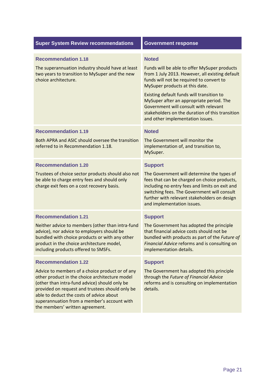| <b>Super System Review recommendations</b>                                                                                                                                                                                                                                                                                                                        | <b>Government response</b>                                                                                                                                                                                                                                                                                                                                                                                             |
|-------------------------------------------------------------------------------------------------------------------------------------------------------------------------------------------------------------------------------------------------------------------------------------------------------------------------------------------------------------------|------------------------------------------------------------------------------------------------------------------------------------------------------------------------------------------------------------------------------------------------------------------------------------------------------------------------------------------------------------------------------------------------------------------------|
| <b>Recommendation 1.18</b><br>The superannuation industry should have at least<br>two years to transition to MySuper and the new<br>choice architecture.                                                                                                                                                                                                          | <b>Noted</b><br>Funds will be able to offer MySuper products<br>from 1 July 2013. However, all existing default<br>funds will not be required to convert to<br>MySuper products at this date.<br>Existing default funds will transition to<br>MySuper after an appropriate period. The<br>Government will consult with relevant<br>stakeholders on the duration of this transition<br>and other implementation issues. |
| <b>Recommendation 1.19</b><br>Both APRA and ASIC should oversee the transition<br>referred to in Recommendation 1.18.                                                                                                                                                                                                                                             | <b>Noted</b><br>The Government will monitor the<br>implementation of, and transition to,<br>MySuper.                                                                                                                                                                                                                                                                                                                   |
| <b>Recommendation 1.20</b><br>Trustees of choice sector products should also not<br>be able to charge entry fees and should only<br>charge exit fees on a cost recovery basis.                                                                                                                                                                                    | <b>Support</b><br>The Government will determine the types of<br>fees that can be charged on choice products,<br>including no entry fees and limits on exit and<br>switching fees. The Government will consult<br>further with relevant stakeholders on design<br>and implementation issues.                                                                                                                            |
| <b>Recommendation 1.21</b><br>Neither advice to members (other than intra-fund<br>advice), nor advice to employers should be<br>bundled with choice products or with any other<br>product in the choice architecture model,<br>including products offered to SMSFs.                                                                                               | <b>Support</b><br>The Government has adopted the principle<br>that financial advice costs should not be<br>bundled with products as part of the Future of<br>Financial Advice reforms and is consulting on<br>implementation details.                                                                                                                                                                                  |
| <b>Recommendation 1.22</b><br>Advice to members of a choice product or of any<br>other product in the choice architecture model<br>(other than intra-fund advice) should only be<br>provided on request and trustees should only be<br>able to deduct the costs of advice about<br>superannuation from a member's account with<br>the members' written agreement. | <b>Support</b><br>The Government has adopted this principle<br>through the Future of Financial Advice<br>reforms and is consulting on implementation<br>details.                                                                                                                                                                                                                                                       |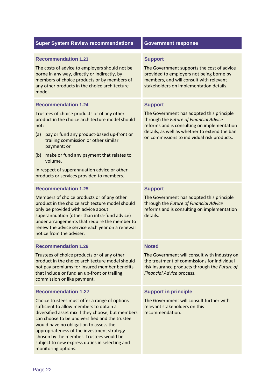| <b>Super System Review recommendations</b>                                                                                                                                                                                                                                                                                                                                                                                                | <b>Government response</b>                                                                                                                                                                                                                           |
|-------------------------------------------------------------------------------------------------------------------------------------------------------------------------------------------------------------------------------------------------------------------------------------------------------------------------------------------------------------------------------------------------------------------------------------------|------------------------------------------------------------------------------------------------------------------------------------------------------------------------------------------------------------------------------------------------------|
| <b>Recommendation 1.23</b><br>The costs of advice to employers should not be<br>borne in any way, directly or indirectly, by<br>members of choice products or by members of<br>any other products in the choice architecture<br>model.                                                                                                                                                                                                    | <b>Support</b><br>The Government supports the cost of advice<br>provided to employers not being borne by<br>members, and will consult with relevant<br>stakeholders on implementation details.                                                       |
| <b>Recommendation 1.24</b><br>Trustees of choice products or of any other<br>product in the choice architecture model should<br>not:<br>pay or fund any product-based up-front or<br>(a)<br>trailing commission or other similar<br>payment; or<br>make or fund any payment that relates to<br>(b)<br>volume,<br>in respect of superannuation advice or other<br>products or services provided to members.                                | <b>Support</b><br>The Government has adopted this principle<br>through the Future of Financial Advice<br>reforms and is consulting on implementation<br>details, as well as whether to extend the ban<br>on commissions to individual risk products. |
| <b>Recommendation 1.25</b><br>Members of choice products or of any other<br>product in the choice architecture model should<br>only be provided with advice about<br>superannuation (other than intra-fund advice)<br>under arrangements that require the member to<br>renew the advice service each year on a renewal<br>notice from the adviser.                                                                                        | <b>Support</b><br>The Government has adopted this principle<br>through the Future of Financial Advice<br>reforms and is consulting on implementation<br>details.                                                                                     |
| <b>Recommendation 1.26</b><br>Trustees of choice products or of any other<br>product in the choice architecture model should<br>not pay premiums for insured member benefits<br>that include or fund an up-front or trailing<br>commission or like payment.                                                                                                                                                                               | <b>Noted</b><br>The Government will consult with industry on<br>the treatment of commissions for individual<br>risk insurance products through the Future of<br>Financial Advice process.                                                            |
| <b>Recommendation 1.27</b><br>Choice trustees must offer a range of options<br>sufficient to allow members to obtain a<br>diversified asset mix if they choose, but members<br>can choose to be undiversified and the trustee<br>would have no obligation to assess the<br>appropriateness of the investment strategy<br>chosen by the member. Trustees would be<br>subject to new express duties in selecting and<br>monitoring options. | <b>Support in principle</b><br>The Government will consult further with<br>relevant stakeholders on this<br>recommendation.                                                                                                                          |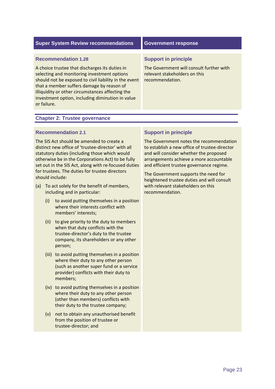| <b>Super System Review recommendations</b>                                                                                                                                                                                                                                                                                                               | <b>Government response</b>                                                                                                  |
|----------------------------------------------------------------------------------------------------------------------------------------------------------------------------------------------------------------------------------------------------------------------------------------------------------------------------------------------------------|-----------------------------------------------------------------------------------------------------------------------------|
| <b>Recommendation 1.28</b><br>A choice trustee that discharges its duties in<br>selecting and monitoring investment options<br>should not be exposed to civil liability in the event<br>that a member suffers damage by reason of<br>illiquidity or other circumstances affecting the<br>investment option, including diminution in value<br>or failure. | <b>Support in principle</b><br>The Government will consult further with<br>relevant stakeholders on this<br>recommendation. |
|                                                                                                                                                                                                                                                                                                                                                          |                                                                                                                             |

### **Chapter 2: Trustee governance**

#### **Recommendation 2.1**

 The SIS Act should be amended to create a distinct new office of 'trustee‐director' with all statutory duties (including those which would otherwise be in the Corporations Act) to be fully set out in the SIS Act, along with re‐focused duties for trustees. The duties for trustee directors should include:

- (a) To act solely for the benefit of members, including and in particular:
	- (i) to avoid putting themselves in a position where their interests conflict with members' interests;
	- (ii) to give priority to the duty to members when that duty conflicts with the trustee‐director's duty to the trustee company, its shareholders or any other person;
	- (iii) to avoid putting themselves in a position where their duty to any other person (such as another super fund or a service provider) conflicts with their duty to members;
	- (iv) to avoid putting themselves in a position where their duty to any other person (other than members) conflicts with their duty to the trustee company;
	- (v) not to obtain any unauthorised benefit from the position of trustee or trustee‐director; and

### **Support in principle**

 The Government notes the recommendation to establish a new office of trustee‐director and will consider whether the proposed arrangements achieve a more accountable and efficient trustee governance regime.

 The Government supports the need for heightened trustee duties and will consult with relevant stakeholders on this recommendation.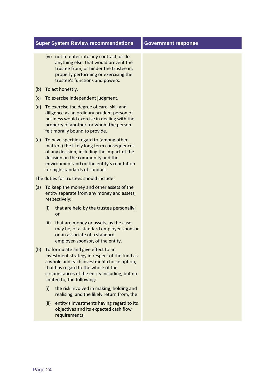### **Super System Review recommendations**

- (vi) not to enter into any contract, or do anything else, that would prevent the trustee from, or hinder the trustee in, properly performing or exercising the trustee's functions and powers.
- (b) To act honestly.
- (c) To exercise independent judgment.
- (d) To exercise the degree of care, skill and diligence as an ordinary prudent person of business would exercise in dealing with the property of another for whom the person felt morally bound to provide.
- (e) To have specific regard to (among other matters) the likely long term consequences of any decision, including the impact of the decision on the community and the environment and on the entity's reputation for high standards of conduct.

The duties for trustees should include:

- (a) To keep the money and other assets of the entity separate from any money and assets, respectively:
	- (i) that are held by the trustee personally; or
	- (ii) that are money or assets, as the case may be, of a standard employer‐sponsor or an associate of a standard employer‐sponsor, of the entity.
- (b) To formulate and give effect to an investment strategy in respect of the fund as a whole and each investment choice option, that has regard to the whole of the circumstances of the entity including, but not limited to, the following:
	- (i) the risk involved in making, holding and realising, and the likely return from, the
	- (ii) entity's investments having regard to its objectives and its expected cash flow requirements;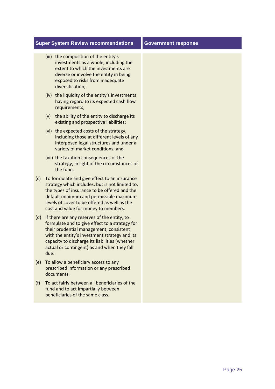#### **Super System Review recommendations**

- (iii) the composition of the entity's investments as a whole, including the extent to which the investments are diverse or involve the entity in being exposed to risks from inadequate diversification;
- (iv) the liquidity of the entity's investments having regard to its expected cash flow requirements;
- (v) the ability of the entity to discharge its existing and prospective liabilities;
- (vi) the expected costs of the strategy, including those at different levels of any interposed legal structures and under a variety of market conditions; and
- (vii) the taxation consequences of the strategy, in light of the circumstances of the fund.
- (c) To formulate and give effect to an insurance strategy which includes, but is not limited to, the types of insurance to be offered and the default minimum and permissible maximum levels of cover to be offered as well as the cost and value for money to members.
- (d) If there are any reserves of the entity, to formulate and to give effect to a strategy for their prudential management, consistent with the entity's investment strategy and its capacity to discharge its liabilities (whether actual or contingent) as and when they fall due.
- (e) To allow a beneficiary access to any prescribed information or any prescribed documents.
- (f) To act fairly between all beneficiaries of the fund and to act impartially between beneficiaries of the same class.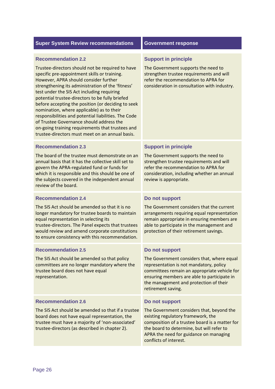#### **Recommendation 2.2**

 Trustee‐directors should not be required to have specific pre‐appointment skills or training. However, APRA should consider further strengthening its administration of the 'fitness' test under the SIS Act including requiring potential trustee‐directors to be fully briefed before accepting the position (or deciding to seek nomination, where applicable) as to their responsibilities and potential liabilities. The Code of Trustee Governance should address the on‐going training requirements that trustees and trustee‐directors must meet on an annual basis.

#### **Recommendation 2.3**

 The board of the trustee must demonstrate on an annual basis that it has the collective skill set to govern the APRA‐regulated fund or funds for which it is responsible and this should be one of the subjects covered in the independent annual review of the board.

#### **Recommendation 2.4**

 The SIS Act should be amended so that it is no longer mandatory for trustee boards to maintain equal representation in selecting its trustee‐directors. The Panel expects that trustees would review and amend corporate constitutions to ensure consistency with this recommendation.

#### **Recommendation 2.5**

 The SIS Act should be amended so that policy committees are no longer mandatory where the trustee board does not have equal representation.

#### **Recommendation 2.6**

 The SIS Act should be amended so that if a trustee board does not have equal representation, the trustee must have a majority of 'non‐associated' trustee‐directors (as described in chapter 2).

#### **Support in principle**

 The Government supports the need to strengthen trustee requirements and will refer the recommendation to APRA for consideration in consultation with industry.

#### **Support in principle**

 The Government supports the need to strengthen trustee requirements and will refer the recommendation to APRA for consideration, including whether an annual review is appropriate.

#### **Do not support**

 The Government considers that the current arrangements requiring equal representation remain appropriate in ensuring members are able to participate in the management and protection of their retirement savings.

#### **Do not support**

 The Government considers that, where equal representation is not mandatory, policy committees remain an appropriate vehicle for ensuring members are able to participate in the management and protection of their retirement saving.

#### **Do not support**

 The Government considers that, beyond the existing regulatory framework, the composition of a trustee board is a matter for the board to determine, but will refer to APRA the need for guidance on managing conflicts of interest.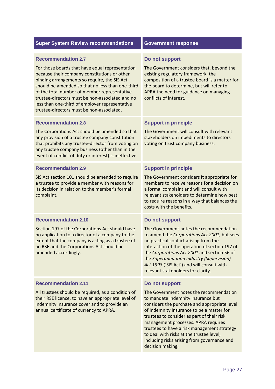| <b>Government response</b>                                                                                                                                                                                                                                                                                                                                                                                                                      |
|-------------------------------------------------------------------------------------------------------------------------------------------------------------------------------------------------------------------------------------------------------------------------------------------------------------------------------------------------------------------------------------------------------------------------------------------------|
| Do not support<br>The Government considers that, beyond the<br>existing regulatory framework, the<br>composition of a trustee board is a matter for<br>the board to determine, but will refer to<br>APRA the need for guidance on managing<br>conflicts of interest.                                                                                                                                                                            |
| <b>Support in principle</b><br>The Government will consult with relevant<br>stakeholders on impediments to directors<br>voting on trust company business.                                                                                                                                                                                                                                                                                       |
| <b>Support in principle</b><br>The Government considers it appropriate for<br>members to receive reasons for a decision on<br>a formal complaint and will consult with<br>relevant stakeholders to determine how best<br>to require reasons in a way that balances the<br>costs with the benefits.                                                                                                                                              |
| Do not support<br>The Government notes the recommendation<br>to amend the Corporations Act 2001, but sees<br>no practical conflict arising from the<br>interaction of the operation of section 197 of<br>the Corporations Act 2001 and section 56 of<br>the Superannuation Industry (Supervision)<br>Act 1993 ('SIS Act') and will consult with<br>relevant stakeholders for clarity.                                                           |
| Do not support<br>The Government notes the recommendation<br>to mandate indemnity insurance but<br>considers the purchase and appropriate level<br>of indemnity insurance to be a matter for<br>trustees to consider as part of their risk<br>management processes. APRA requires<br>trustees to have a risk management strategy<br>to deal with risks at the trustee level,<br>including risks arising from governance and<br>decision making. |
|                                                                                                                                                                                                                                                                                                                                                                                                                                                 |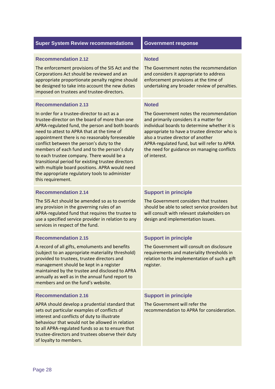### **Recommendation 2.12** Noted

The enforcement provisions of the SIS Act and the The Government notes the recommendation Corporations Act should be reviewed and an and considers it appropriate to address appropriate proportionate penalty regime should enforcement provisions at the time of be designed to take into account the new duties undertaking any broader review of penalties. imposed on trustees and trustee‐directors.

#### **Recommendation 2.13**

 In order for a trustee‐director to act as a trustee‐director on the board of more than one APRA‐regulated fund, the person and both boards need to attest to APRA that at the time of appointment there is no reasonably foreseeable conflict between the person's duty to the members of each fund and to the person's duty to each trustee company. There would be a transitional period for existing trustee directors with multiple board positions. APRA would need the appropriate regulatory tools to administer this requirement.

The Government notes the recommendation and considers it appropriate to address enforcement provisions at the time of undertaking any broader review of penalties.

#### **Noted**

 The Government notes the recommendation and primarily considers it a matter for individual boards to determine whether it is appropriate to have a trustee director who is also a trustee director of another APRA‐regulated fund, but will refer to APRA the need for guidance on managing conflicts of interest.

#### **Recommendation 2.14**

 The SIS Act should be amended so as to override any provision in the governing rules of an APRA‐regulated fund that requires the trustee to use a specified service provider in relation to any services in respect of the fund.

#### **Recommendation 2.15**

 A record of all gifts, emoluments and benefits (subject to an appropriate materiality threshold) provided to trustees, trustee directors and management should be kept in a register maintained by the trustee and disclosed to APRA annually as well as in the annual fund report to members and on the fund's website.

### **Recommendation 2.16**

 APRA should develop a prudential standard that sets out particular examples of conflicts of interest and conflicts of duty to illustrate behaviour that would not be allowed in relation to all APRA‐regulated funds so as to ensure that trustee‐directors and trustees observe their duty of loyalty to members.

### **Support in principle**

 The Government considers that trustees should be able to select service providers but will consult with relevant stakeholders on design and implementation issues.

# **Support in principle**

 The Government will consult on disclosure requirements and materiality thresholds in relation to the implementation of such a gift register.

### **Support in principle**

 The Government will refer the recommendation to APRA for consideration.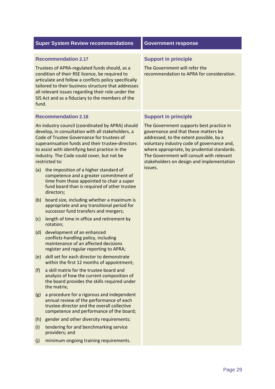|       | <b>Super System Review recommendations</b>                                                                                                                                                                                                                                                                                                              | <b>Government response</b>                                                                                                                                                                                                                                                                                         |
|-------|---------------------------------------------------------------------------------------------------------------------------------------------------------------------------------------------------------------------------------------------------------------------------------------------------------------------------------------------------------|--------------------------------------------------------------------------------------------------------------------------------------------------------------------------------------------------------------------------------------------------------------------------------------------------------------------|
| fund. | <b>Recommendation 2.17</b><br>Trustees of APRA-regulated funds should, as a<br>condition of their RSE licence, be required to<br>articulate and follow a conflicts policy specifically<br>tailored to their business structure that addresses<br>all relevant issues regarding their role under the<br>SIS Act and as a fiduciary to the members of the | <b>Support in principle</b><br>The Government will refer the<br>recommendation to APRA for consideration.                                                                                                                                                                                                          |
|       | <b>Recommendation 2.18</b>                                                                                                                                                                                                                                                                                                                              | <b>Support in principle</b>                                                                                                                                                                                                                                                                                        |
|       | An industry council (coordinated by APRA) should<br>develop, in consultation with all stakeholders, a<br>Code of Trustee Governance for trustees of<br>superannuation funds and their trustee-directors<br>to assist with identifying best practice in the<br>industry. The Code could cover, but not be<br>restricted to:                              | The Government supports best practice in<br>governance and that these matters be<br>addressed, to the extent possible, by a<br>voluntary industry code of governance and,<br>where appropriate, by prudential standards.<br>The Government will consult with relevant<br>stakeholders on design and implementation |
| (a)   | the imposition of a higher standard of<br>competence and a greater commitment of<br>time from those appointed to chair a super<br>fund board than is required of other trustee<br>directors;                                                                                                                                                            | issues.                                                                                                                                                                                                                                                                                                            |
| (b)   | board size, including whether a maximum is<br>appropriate and any transitional period for<br>successor fund transfers and mergers;                                                                                                                                                                                                                      |                                                                                                                                                                                                                                                                                                                    |
| (c)   | length of time in office and retirement by<br>rotation;                                                                                                                                                                                                                                                                                                 |                                                                                                                                                                                                                                                                                                                    |
| (d)   | development of an enhanced<br>conflicts-handling policy, including<br>maintenance of an affected decisions<br>register and regular reporting to APRA;                                                                                                                                                                                                   |                                                                                                                                                                                                                                                                                                                    |
| (e)   | skill set for each director to demonstrate<br>within the first 12 months of appointment;                                                                                                                                                                                                                                                                |                                                                                                                                                                                                                                                                                                                    |
| (f)   | a skill matrix for the trustee board and<br>analysis of how the current composition of<br>the board provides the skills required under<br>the matrix;                                                                                                                                                                                                   |                                                                                                                                                                                                                                                                                                                    |
| (g)   | a procedure for a rigorous and independent<br>annual review of the performance of each<br>trustee-director and the overall collective<br>competence and performance of the board;                                                                                                                                                                       |                                                                                                                                                                                                                                                                                                                    |
| (h)   | gender and other diversity requirements;                                                                                                                                                                                                                                                                                                                |                                                                                                                                                                                                                                                                                                                    |
| (i)   | tendering for and benchmarking service<br>providers; and                                                                                                                                                                                                                                                                                                |                                                                                                                                                                                                                                                                                                                    |
| (j)   | minimum ongoing training requirements.                                                                                                                                                                                                                                                                                                                  |                                                                                                                                                                                                                                                                                                                    |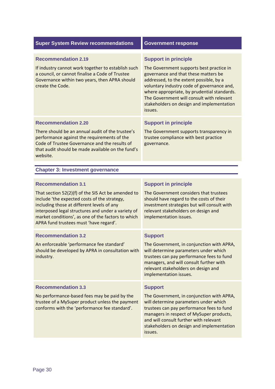| <b>Super System Review recommendations</b>                                                                                                                                                                                                                                                                                          | <b>Government response</b>                                                                                                                                                                                                                                                                                                                                   |
|-------------------------------------------------------------------------------------------------------------------------------------------------------------------------------------------------------------------------------------------------------------------------------------------------------------------------------------|--------------------------------------------------------------------------------------------------------------------------------------------------------------------------------------------------------------------------------------------------------------------------------------------------------------------------------------------------------------|
| <b>Recommendation 2.19</b><br>If industry cannot work together to establish such<br>a council, or cannot finalise a Code of Trustee<br>Governance within two years, then APRA should<br>create the Code.                                                                                                                            | <b>Support in principle</b><br>The Government supports best practice in<br>governance and that these matters be<br>addressed, to the extent possible, by a<br>voluntary industry code of governance and,<br>where appropriate, by prudential standards.<br>The Government will consult with relevant<br>stakeholders on design and implementation<br>issues. |
| <b>Recommendation 2.20</b><br>There should be an annual audit of the trustee's<br>performance against the requirements of the<br>Code of Trustee Governance and the results of<br>that audit should be made available on the fund's<br>website.                                                                                     | <b>Support in principle</b><br>The Government supports transparency in<br>trustee compliance with best practice<br>governance.                                                                                                                                                                                                                               |
| <b>Chapter 3: Investment governance</b>                                                                                                                                                                                                                                                                                             |                                                                                                                                                                                                                                                                                                                                                              |
| <b>Recommendation 3.1</b><br>That section 52(2)(f) of the SIS Act be amended to<br>include 'the expected costs of the strategy,<br>including those at different levels of any<br>interposed legal structures and under a variety of<br>market conditions', as one of the factors to which<br>APRA fund trustees must 'have regard'. | <b>Support in principle</b><br>The Government considers that trustees<br>should have regard to the costs of their<br>investment strategies but will consult with<br>relevant stakeholders on design and<br>implementation issues.                                                                                                                            |
| <b>Recommendation 3.2</b><br>An enforceable 'performance fee standard'<br>should be developed by APRA in consultation with<br>industry.                                                                                                                                                                                             | <b>Support</b><br>The Government, in conjunction with APRA,<br>will determine parameters under which<br>trustees can pay performance fees to fund<br>managers, and will consult further with<br>relevant stakeholders on design and<br>implementation issues.                                                                                                |
| <b>Recommendation 3.3</b><br>No performance-based fees may be paid by the<br>trustee of a MySuper product unless the payment<br>conforms with the 'performance fee standard'.                                                                                                                                                       | <b>Support</b><br>The Government, in conjunction with APRA,<br>will determine parameters under which<br>trustees can pay performance fees to fund<br>managers in respect of MySuper products,<br>and will consult further with relevant<br>stakeholders on design and implementation<br>issues.                                                              |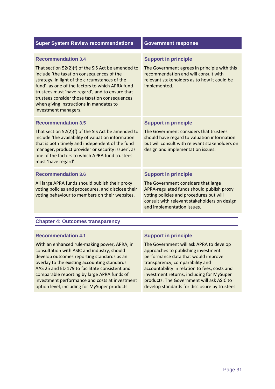| <b>Super System Review recommendations</b>                                                                                                                                                                                                                                                                                                                                                               | <b>Government response</b>                                                                                                                                                                                                               |
|----------------------------------------------------------------------------------------------------------------------------------------------------------------------------------------------------------------------------------------------------------------------------------------------------------------------------------------------------------------------------------------------------------|------------------------------------------------------------------------------------------------------------------------------------------------------------------------------------------------------------------------------------------|
| <b>Recommendation 3.4</b><br>That section 52(2)(f) of the SIS Act be amended to<br>include 'the taxation consequences of the<br>strategy, in light of the circumstances of the<br>fund', as one of the factors to which APRA fund<br>trustees must 'have regard', and to ensure that<br>trustees consider those taxation consequences<br>when giving instructions in mandates to<br>investment managers. | <b>Support in principle</b><br>The Government agrees in principle with this<br>recommendation and will consult with<br>relevant stakeholders as to how it could be<br>implemented.                                                       |
| <b>Recommendation 3.5</b><br>That section 52(2)(f) of the SIS Act be amended to<br>include 'the availability of valuation information<br>that is both timely and independent of the fund<br>manager, product provider or security issuer', as<br>one of the factors to which APRA fund trustees<br>must 'have regard'.                                                                                   | <b>Support in principle</b><br>The Government considers that trustees<br>should have regard to valuation information<br>but will consult with relevant stakeholders on<br>design and implementation issues.                              |
| <b>Recommendation 3.6</b><br>All large APRA funds should publish their proxy<br>voting policies and procedures, and disclose their<br>voting behaviour to members on their websites.                                                                                                                                                                                                                     | <b>Support in principle</b><br>The Government considers that large<br>APRA-regulated funds should publish proxy<br>voting policies and procedures but will<br>consult with relevant stakeholders on design<br>and implementation issues. |

# **Chapter 4: Outcomes transparency**

### **Recommendation 4.1**

 With an enhanced rule‐making power, APRA, in consultation with ASIC and industry, should develop outcomes reporting standards as an overlay to the existing accounting standards AAS 25 and ED 179 to facilitate consistent and comparable reporting by large APRA funds of investment performance and costs at investment option level, including for MySuper products.

### **Support in principle**

 The Government will ask APRA to develop approaches to publishing investment performance data that would improve transparency, comparability and accountability in relation to fees, costs and investment returns, including for MySuper products. The Government will ask ASIC to develop standards for disclosure by trustees.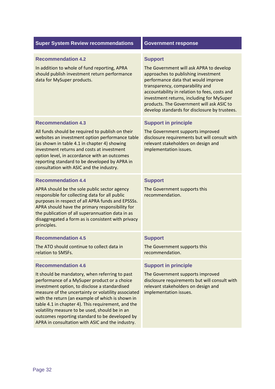| <b>Super System Review recommendations</b>                                                                                                                                                                                                                                                                                                                                                                                                                                                            | <b>Government response</b>                                                                                                                                                                                                                                                                                                                                             |
|-------------------------------------------------------------------------------------------------------------------------------------------------------------------------------------------------------------------------------------------------------------------------------------------------------------------------------------------------------------------------------------------------------------------------------------------------------------------------------------------------------|------------------------------------------------------------------------------------------------------------------------------------------------------------------------------------------------------------------------------------------------------------------------------------------------------------------------------------------------------------------------|
| <b>Recommendation 4.2</b><br>In addition to whole of fund reporting, APRA<br>should publish investment return performance<br>data for MySuper products.                                                                                                                                                                                                                                                                                                                                               | <b>Support</b><br>The Government will ask APRA to develop<br>approaches to publishing investment<br>performance data that would improve<br>transparency, comparability and<br>accountability in relation to fees, costs and<br>investment returns, including for MySuper<br>products. The Government will ask ASIC to<br>develop standards for disclosure by trustees. |
| <b>Recommendation 4.3</b><br>All funds should be required to publish on their<br>websites an investment option performance table<br>(as shown in table 4.1 in chapter 4) showing<br>investment returns and costs at investment<br>option level, in accordance with an outcomes<br>reporting standard to be developed by APRA in<br>consultation with ASIC and the industry.                                                                                                                           | <b>Support in principle</b><br>The Government supports improved<br>disclosure requirements but will consult with<br>relevant stakeholders on design and<br>implementation issues.                                                                                                                                                                                      |
| <b>Recommendation 4.4</b><br>APRA should be the sole public sector agency<br>responsible for collecting data for all public<br>purposes in respect of all APRA funds and EPSSSs.<br>APRA should have the primary responsibility for<br>the publication of all superannuation data in as<br>disaggregated a form as is consistent with privacy<br>principles.                                                                                                                                          | <b>Support</b><br>The Government supports this<br>recommendation.                                                                                                                                                                                                                                                                                                      |
| <b>Recommendation 4.5</b><br>The ATO should continue to collect data in<br>relation to SMSFs.                                                                                                                                                                                                                                                                                                                                                                                                         | <b>Support</b><br>The Government supports this<br>recommendation.                                                                                                                                                                                                                                                                                                      |
| <b>Recommendation 4.6</b><br>It should be mandatory, when referring to past<br>performance of a MySuper product or a choice<br>investment option, to disclose a standardised<br>measure of the uncertainty or volatility associated<br>with the return (an example of which is shown in<br>table 4.1 in chapter 4). This requirement, and the<br>volatility measure to be used, should be in an<br>outcomes reporting standard to be developed by<br>APRA in consultation with ASIC and the industry. | <b>Support in principle</b><br>The Government supports improved<br>disclosure requirements but will consult with<br>relevant stakeholders on design and<br>implementation issues.                                                                                                                                                                                      |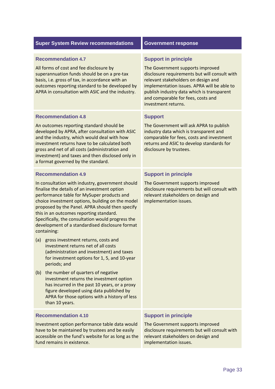#### **Recommendation 4.7**

 All forms of cost and fee disclosure by superannuation funds should be on a pre‐tax basis, i.e. gross of tax, in accordance with an outcomes reporting standard to be developed by APRA in consultation with ASIC and the industry.

#### **Recommendation 4.8**

 An outcomes reporting standard should be developed by APRA, after consultation with ASIC and the industry, which would deal with how investment returns have to be calculated both gross and net of all costs (administration and investment) and taxes and then disclosed only in a format governed by the standard.

#### **Recommendation 4.9**

 In consultation with industry, government should finalise the details of an investment option performance table for MySuper products and choice investment options, building on the model proposed by the Panel. APRA should then specify this in an outcomes reporting standard. Specifically, the consultation would progress the development of a standardised disclosure format containing:

- (a) gross investment returns, costs and investment returns net of all costs (administration and investment) and taxes for investment options for 1, 5, and 10‐year periods; and
- (b) the number of quarters of negative investment returns the investment option has incurred in the past 10 years, or a proxy figure developed using data published by APRA for those options with a history of less than 10 years.

### **Recommendation 4.10 Support in principle**

 Investment option performance table data would The Government supports improved have to be maintained by trustees and be easily disclosure requirements but will consult with accessible on the fund's website for as long as the relevant stakeholders on design and fund remains in existence. in the state of the implementation issues.

#### **Support in principle**

 The Government supports improved disclosure requirements but will consult with relevant stakeholders on design and implementation issues. APRA will be able to publish industry data which is transparent and comparable for fees, costs and investment returns.

#### **Support**

 The Government will ask APRA to publish industry data which is transparent and comparable for fees, costs and investment returns and ASIC to develop standards for disclosure by trustees.

#### **Support in principle**

 The Government supports improved disclosure requirements but will consult with relevant stakeholders on design and implementation issues.

The Government supports improved disclosure requirements but will consult with relevant stakeholders on design and implementation issues.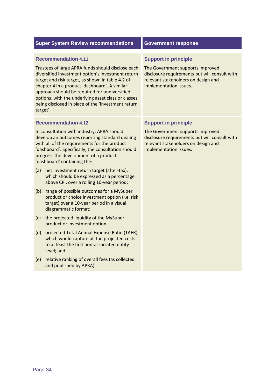|                                                                                                                                                                                                                                                                                                                                                                                                                     | <b>Super System Review recommendations</b>                                                                                                                                                                                                                                                               | <b>Government response</b>                                                                                                                                                        |
|---------------------------------------------------------------------------------------------------------------------------------------------------------------------------------------------------------------------------------------------------------------------------------------------------------------------------------------------------------------------------------------------------------------------|----------------------------------------------------------------------------------------------------------------------------------------------------------------------------------------------------------------------------------------------------------------------------------------------------------|-----------------------------------------------------------------------------------------------------------------------------------------------------------------------------------|
| <b>Recommendation 4.11</b><br>Trustees of large APRA funds should disclose each<br>diversified investment option's investment return<br>target and risk target, as shown in table 4.2 of<br>chapter 4 in a product 'dashboard'. A similar<br>approach should be required for undiversified<br>options, with the underlying asset class or classes<br>being disclosed in place of the 'investment return<br>target'. |                                                                                                                                                                                                                                                                                                          | <b>Support in principle</b><br>The Government supports improved<br>disclosure requirements but will consult with<br>relevant stakeholders on design and<br>implementation issues. |
|                                                                                                                                                                                                                                                                                                                                                                                                                     | <b>Recommendation 4.12</b><br>In consultation with industry, APRA should<br>develop an outcomes reporting standard dealing<br>with all of the requirements for the product<br>'dashboard'. Specifically, the consultation should<br>progress the development of a product<br>'dashboard' containing the: | <b>Support in principle</b><br>The Government supports improved<br>disclosure requirements but will consult with<br>relevant stakeholders on design and<br>implementation issues. |
| (a)                                                                                                                                                                                                                                                                                                                                                                                                                 | net investment return target (after-tax),<br>which should be expressed as a percentage<br>above CPI, over a rolling 10-year period;                                                                                                                                                                      |                                                                                                                                                                                   |
| (b)                                                                                                                                                                                                                                                                                                                                                                                                                 | range of possible outcomes for a MySuper<br>product or choice investment option (i.e. risk<br>target) over a 10-year period in a visual,<br>diagrammatic format;                                                                                                                                         |                                                                                                                                                                                   |
| (c)                                                                                                                                                                                                                                                                                                                                                                                                                 | the projected liquidity of the MySuper<br>product or investment option;                                                                                                                                                                                                                                  |                                                                                                                                                                                   |
| (d)                                                                                                                                                                                                                                                                                                                                                                                                                 | projected Total Annual Expense Ratio (TAER)<br>which would capture all the projected costs<br>to at least the first non-associated entity<br>level; and                                                                                                                                                  |                                                                                                                                                                                   |
| (e)                                                                                                                                                                                                                                                                                                                                                                                                                 | relative ranking of overall fees (as collected<br>and published by APRA).                                                                                                                                                                                                                                |                                                                                                                                                                                   |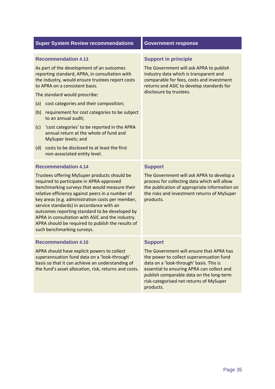#### **Recommendation 4.13**

 As part of the development of an outcomes reporting standard, APRA, in consultation with the industry, would ensure trustees report costs to APRA on a consistent basis.

The standard would prescribe:

- (a) cost categories and their composition;
- (b) requirement for cost categories to be subject to an annual audit;
- (c) 'cost categories' to be reported in the APRA annual return at the whole of fund and MySuper levels; and
- (d) costs to be disclosed to at least the first non‐associated entity level.

#### **Recommendation 4.14**

 Trustees offering MySuper products should be required to participate in APRA‐approved benchmarking surveys that would measure their relative efficiency against peers in a number of key areas (e.g. administration costs per member, service standards) in accordance with an outcomes reporting standard to be developed by APRA in consultation with ASIC and the industry. APRA should be required to publish the results of such benchmarking surveys.

#### **Recommendation 4.15**

 APRA should have explicit powers to collect superannuation fund data on a 'look‐through' basis so that it can achieve an understanding of the fund's asset allocation, risk, returns and costs.

#### **Support in principle**

 The Government will ask APRA to publish industry data which is transparent and comparable for fees, costs and investment returns and ASIC to develop standards for disclosure by trustees.

#### **Support**

 The Government will ask APRA to develop a process for collecting data which will allow the publication of appropriate information on the risks and investment returns of MySuper products.

#### **Support**

 The Government will ensure that APRA has the power to collect superannuation fund data on a 'look‐through' basis. This is essential to ensuring APRA can collect and publish comparable data on the long‐term risk‐categorised net returns of MySuper products.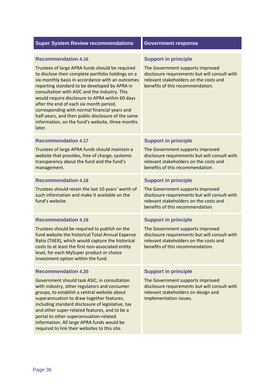| <b>Super System Review recommendations</b>                                                                                                                                                                                                                                                                                                                                                                                                                                                                                                                   | <b>Government response</b>                                                                                                                                                                     |
|--------------------------------------------------------------------------------------------------------------------------------------------------------------------------------------------------------------------------------------------------------------------------------------------------------------------------------------------------------------------------------------------------------------------------------------------------------------------------------------------------------------------------------------------------------------|------------------------------------------------------------------------------------------------------------------------------------------------------------------------------------------------|
| <b>Recommendation 4.16</b><br>Trustees of large APRA funds should be required<br>to disclose their complete portfolio holdings on a<br>six-monthly basis in accordance with an outcomes<br>reporting standard to be developed by APRA in<br>consultation with ASIC and the industry. This<br>would require disclosure to APRA within 60 days<br>after the end of each six month period,<br>corresponding with normal financial years and<br>half-years, and then public disclosure of the same<br>information, on the fund's website, three months<br>later. | <b>Support in principle</b><br>The Government supports improved<br>disclosure requirements but will consult with<br>relevant stakeholders on the costs and<br>benefits of this recommendation. |
| <b>Recommendation 4.17</b><br>Trustees of large APRA funds should maintain a<br>website that provides, free of charge, systemic<br>transparency about the fund and the fund's<br>management.                                                                                                                                                                                                                                                                                                                                                                 | <b>Support in principle</b><br>The Government supports improved<br>disclosure requirements but will consult with<br>relevant stakeholders on the costs and<br>benefits of this recommendation. |
| <b>Recommendation 4.18</b><br>Trustees should retain the last 10 years' worth of<br>such information and make it available on the<br>fund's website.                                                                                                                                                                                                                                                                                                                                                                                                         | <b>Support in principle</b><br>The Government supports improved<br>disclosure requirements but will consult with<br>relevant stakeholders on the costs and<br>benefits of this recommendation. |
| <b>Recommendation 4.19</b><br>Trustees should be required to publish on the<br>fund website the historical Total Annual Expense<br>Ratio (TAER), which would capture the historical<br>costs to at least the first non-associated entity<br>level, for each MySuper product or choice<br>investment option within the fund.                                                                                                                                                                                                                                  | <b>Support in principle</b><br>The Government supports improved<br>disclosure requirements but will consult with<br>relevant stakeholders on the costs and<br>benefits of this recommendation. |
| <b>Recommendation 4.20</b><br>Government should task ASIC, in consultation<br>with industry, other regulators and consumer<br>groups, to establish a central website about<br>superannuation to draw together features,                                                                                                                                                                                                                                                                                                                                      | <b>Support in principle</b><br>The Government supports improved<br>disclosure requirements but will consult with<br>relevant stakeholders on design and<br>implementation issues.              |

 including standard disclosure of legislative, tax and other super‐related features, and to be a portal to other superannuation‐related information. All large APRA funds would be required to link their websites to this site.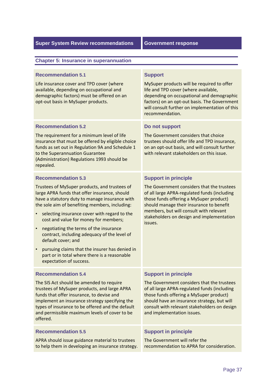#### **Chapter 5: Insurance in superannuation**

#### **Recommendation 5.1**

 Life insurance cover and TPD cover (where available, depending on occupational and demographic factors) must be offered on an opt‐out basis in MySuper products.

#### **Recommendation 5.2**

 The requirement for a minimum level of life insurance that must be offered by eligible choice funds as set out in Regulation 9A and Schedule 1 to the Superannuation Guarantee (Administration) Regulations 1993 should be repealed.

#### **Recommendation 5.3**

 Trustees of MySuper products, and trustees of large APRA funds that offer insurance, should have a statutory duty to manage insurance with the sole aim of benefiting members, including:

- • selecting insurance cover with regard to the cost and value for money for members;
- • negotiating the terms of the insurance contract, including adequacy of the level of default cover; and
- • pursuing claims that the insurer has denied in part or in total where there is a reasonable expectation of success.

#### **Recommendation 5.4**

 The SIS Act should be amended to require trustees of MySuper products, and large APRA funds that offer insurance, to devise and implement an insurance strategy specifying the types of insurance to be offered and the default and permissible maximum levels of cover to be offered.

APRA should issue guidance material to trustees The Government will refer the to help them in developing an insurance strategy. Frecommendation to APRA for consideration.

#### **Support**

 MySuper products will be required to offer life and TPD cover (where available, depending on occupational and demographic factors) on an opt‐out basis. The Government will consult further on implementation of this recommendation.

#### **Do not support**

 The Government considers that choice trustees should offer life and TPD insurance, on an opt‐out basis, and will consult further with relevant stakeholders on this issue.

#### **Support in principle**

 The Government considers that the trustees of all large APRA‐regulated funds (including those funds offering a MySuper product) should manage their insurance to benefit members, but will consult with relevant stakeholders on design and implementation issues.

### **Support in principle**

 The Government considers that the trustees of all large APRA‐regulated funds (including those funds offering a MySuper product) should have an insurance strategy, but will consult with relevant stakeholders on design and implementation issues.

#### **Recommendation 5.5 Support in principle 3.5 Support in principle**

The Government will refer the recommendation to APRA for consideration.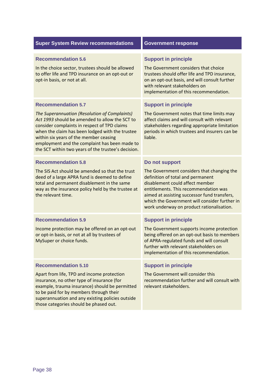#### **Recommendation 5.6 Support in principle 3.6**

In the choice sector, trustees should be allowed The Government considers that choice to offer life and TPD insurance on an opt-out or trustees should offer life and TPD insurance, opt-in basis, or not at all. opt-in basis, or not at all. **on an opt-out basis, and will consult further** 

#### **Recommendation 5.7**

 *The Superannuation (Resolution of Complaints) Act 1993* should be amended to allow the SCT to consider complaints in respect of TPD claims when the claim has been lodged with the trustee within six years of the member ceasing employment and the complaint has been made to the SCT within two years of the trustee's decision.

#### **Recommendation 5.8**

 The SIS Act should be amended so that the trust deed of a large APRA fund is deemed to define total and permanent disablement in the same way as the insurance policy held by the trustee at the relevant time.

#### **Recommendation 5.9**

 Income protection may be offered on an opt‐out or opt‐in basis, or not at all by trustees of MySuper or choice funds.

#### **Recommendation 5.10**

 Apart from life, TPD and income protection insurance, no other type of insurance (for example, trauma insurance) should be permitted to be paid for by members through their superannuation and any existing policies outside those categories should be phased out.

The Government considers that choice trustees should offer life and TPD insurance. with relevant stakeholders on implementation of this recommendation.

### **Support in principle**

 The Government notes that time limits may affect claims and will consult with relevant stakeholders regarding appropriate limitation periods in which trustees and insurers can be liable.

#### **Do not support**

 The Government considers that changing the definition of total and permanent disablement could affect member entitlements. This recommendation was aimed at assisting successor fund transfers, which the Government will consider further in work underway on product rationalisation.

### **Support in principle**

 The Government supports income protection being offered on an opt‐out basis to members of APRA‐regulated funds and will consult further with relevant stakeholders on implementation of this recommendation.

#### **Support in principle**

 The Government will consider this recommendation further and will consult with relevant stakeholders.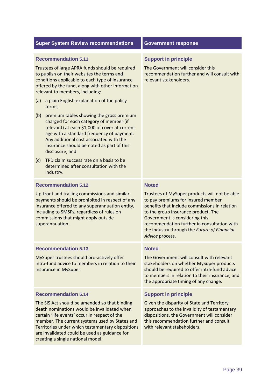|                                                                                                                                                                                                                                                                                                                            | <b>Super System Review recommendations</b>                                                                                                                                                                                                                                                                                                 | <b>Government response</b>                                                                                                                                                                                                                                                                                                      |  |
|----------------------------------------------------------------------------------------------------------------------------------------------------------------------------------------------------------------------------------------------------------------------------------------------------------------------------|--------------------------------------------------------------------------------------------------------------------------------------------------------------------------------------------------------------------------------------------------------------------------------------------------------------------------------------------|---------------------------------------------------------------------------------------------------------------------------------------------------------------------------------------------------------------------------------------------------------------------------------------------------------------------------------|--|
| <b>Recommendation 5.11</b><br>Trustees of large APRA funds should be required<br>to publish on their websites the terms and<br>conditions applicable to each type of insurance<br>offered by the fund, along with other information<br>relevant to members, including:<br>a plain English explanation of the policy<br>(a) |                                                                                                                                                                                                                                                                                                                                            | <b>Support in principle</b><br>The Government will consider this<br>recommendation further and will consult with<br>relevant stakeholders.                                                                                                                                                                                      |  |
| (b)                                                                                                                                                                                                                                                                                                                        | terms;<br>premium tables showing the gross premium<br>charged for each category of member (if<br>relevant) at each \$1,000 of cover at current<br>age with a standard frequency of payment.<br>Any additional cost associated with the<br>insurance should be noted as part of this<br>disclosure; and                                     |                                                                                                                                                                                                                                                                                                                                 |  |
| (c)                                                                                                                                                                                                                                                                                                                        | TPD claim success rate on a basis to be<br>determined after consultation with the<br>industry.                                                                                                                                                                                                                                             |                                                                                                                                                                                                                                                                                                                                 |  |
|                                                                                                                                                                                                                                                                                                                            | <b>Recommendation 5.12</b>                                                                                                                                                                                                                                                                                                                 | <b>Noted</b>                                                                                                                                                                                                                                                                                                                    |  |
| Up-front and trailing commissions and similar<br>payments should be prohibited in respect of any<br>insurance offered to any superannuation entity,<br>including to SMSFs, regardless of rules on<br>commissions that might apply outside<br>superannuation.                                                               |                                                                                                                                                                                                                                                                                                                                            | Trustees of MySuper products will not be able<br>to pay premiums for insured member<br>benefits that include commissions in relation<br>to the group insurance product. The<br>Government is considering this<br>recommendation further in consultation with<br>the industry through the Future of Financial<br>Advice process. |  |
|                                                                                                                                                                                                                                                                                                                            | <b>Recommendation 5.13</b>                                                                                                                                                                                                                                                                                                                 | <b>Noted</b>                                                                                                                                                                                                                                                                                                                    |  |
| MySuper trustees should pro-actively offer<br>intra-fund advice to members in relation to their<br>insurance in MySuper.                                                                                                                                                                                                   |                                                                                                                                                                                                                                                                                                                                            | The Government will consult with relevant<br>stakeholders on whether MySuper products<br>should be required to offer intra-fund advice<br>to members in relation to their insurance, and<br>the appropriate timing of any change.                                                                                               |  |
|                                                                                                                                                                                                                                                                                                                            | <b>Recommendation 5.14</b>                                                                                                                                                                                                                                                                                                                 | <b>Support in principle</b>                                                                                                                                                                                                                                                                                                     |  |
|                                                                                                                                                                                                                                                                                                                            | The SIS Act should be amended so that binding<br>death nominations would be invalidated when<br>certain 'life events' occur in respect of the<br>member. The current systems used by States and<br>Territories under which testamentary dispositions<br>are invalidated could be used as guidance for<br>creating a single national model. | Given the disparity of State and Territory<br>approaches to the invalidity of testamentary<br>dispositions, the Government will consider<br>this recommendation further and consult<br>with relevant stakeholders.                                                                                                              |  |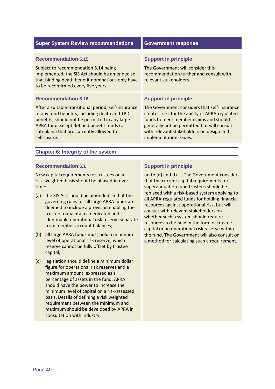| <b>Super System Review recommendations</b>                                                                                                                                                                                                                        | <b>Government response</b>                                                                                                                                                                                                                                     |  |
|-------------------------------------------------------------------------------------------------------------------------------------------------------------------------------------------------------------------------------------------------------------------|----------------------------------------------------------------------------------------------------------------------------------------------------------------------------------------------------------------------------------------------------------------|--|
|                                                                                                                                                                                                                                                                   |                                                                                                                                                                                                                                                                |  |
| <b>Recommendation 5.15</b>                                                                                                                                                                                                                                        | <b>Support in principle</b>                                                                                                                                                                                                                                    |  |
| Subject to recommendation 5.14 being<br>implemented, the SIS Act should be amended so<br>that binding death benefit nominations only have<br>to be reconfirmed every five years.                                                                                  | The Government will consider this<br>recommendation further and consult with<br>relevant stakeholders.                                                                                                                                                         |  |
| <b>Recommendation 5.16</b>                                                                                                                                                                                                                                        | <b>Support in principle</b>                                                                                                                                                                                                                                    |  |
| After a suitable transitional period, self-insurance<br>of any fund benefits, including death and TPD<br>benefits, should not be permitted in any large<br>APRA fund except defined benefit funds (or<br>sub-plans) that are currently allowed to<br>self-insure. | The Government considers that self-insurance<br>creates risks for the ability of APRA-regulated<br>funds to meet member claims and should<br>generally not be permitted but will consult<br>with relevant stakeholders on design and<br>implementation issues. |  |
| <b>Chapter 6: Integrity of the system</b>                                                                                                                                                                                                                         |                                                                                                                                                                                                                                                                |  |
|                                                                                                                                                                                                                                                                   |                                                                                                                                                                                                                                                                |  |

#### **Recommendation 6.1**

 New capital requirements for trustees on a risk‐weighted basis should be phased‐in over time:

- (a) the SIS Act should be amended so that the governing rules for all large APRA funds are deemed to include a provision enabling the trustee to maintain a dedicated and identifiable operational risk reserve separate from member account balances;
- (b) all large APRA funds must hold a minimum level of operational risk reserve, which reserve cannot be fully offset by trustee capital;
- (c) legislation should define a minimum dollar figure for operational risk reserves and a maximum amount, expressed as a percentage of assets in the fund. APRA should have the power to increase the minimum level of capital on a risk‐assessed basis. Details of defining a risk weighted requirement between the minimum and maximum should be developed by APRA in consultation with industry;

# **Support in principle**

(a) to (d) and (f)  $-$  The Government considers that the current capital requirements for superannuation fund trustees should be replaced with a risk‐based system applying to all APRA‐regulated funds for holding financial resources against operational risk, but will consult with relevant stakeholders on whether such a system should require resources to be held in the form of trustee capital or an operational risk reserve within the fund. The Government will also consult on a method for calculating such a requirement.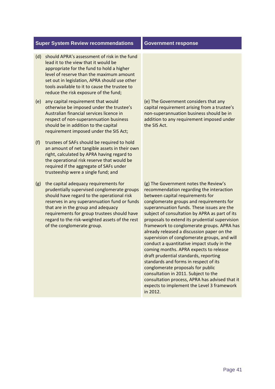- (d) should APRA's assessment of risk in the fund lead it to the view that it would be appropriate for the fund to hold a higher level of reserve than the maximum amount set out in legislation, APRA should use other tools available to it to cause the trustee to reduce the risk exposure of the fund;
- (e) any capital requirement that would otherwise be imposed under the trustee's Australian financial services licence in respect of non‐superannuation business should be in addition to the capital requirement imposed under the SIS Act;
- (f) trustees of SAFs should be required to hold an amount of net tangible assets in their own right, calculated by APRA having regard to the operational risk reserve that would be required if the aggregate of SAFs under trusteeship were a single fund; and
- (g) the capital adequacy requirements for prudentially supervised conglomerate groups should have regard to the operational risk reserves in any superannuation fund or funds that are in the group and adequacy requirements for group trustees should have regard to the risk‐weighted assets of the rest of the conglomerate group.

 (e) The Government considers that any capital requirement arising from a trustee's non‐superannuation business should be in addition to any requirement imposed under the SIS Act.

 (g) The Government notes the Review's recommendation regarding the interaction between capital requirements for conglomerate groups and requirements for superannuation funds. These issues are the subject of consultation by APRA as part of its proposals to extend its prudential supervision framework to conglomerate groups. APRA has already released a discussion paper on the supervision of conglomerate groups, and will conduct a quantitative impact study in the coming months. APRA expects to release draft prudential standards, reporting standards and forms in respect of its conglomerate proposals for public consultation in 2011. Subject to the consultation process, APRA has advised that it expects to implement the Level 3 framework in 2012.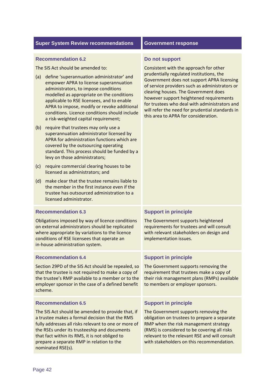#### **Recommendation 6.2**

The SIS Act should be amended to:

- (a) define 'superannuation administrator' and empower APRA to license superannuation administrators, to impose conditions modelled as appropriate on the conditions applicable to RSE licensees, and to enable APRA to impose, modify or revoke additional conditions. Licence conditions should include a risk‐weighted capital requirement;
- (b) require that trustees may only use a superannuation administrator licensed by APRA for administration functions which are covered by the outsourcing operating standard. This process should be funded by a levy on those administrators;
- (c) require commercial clearing houses to be licensed as administrators; and
- (d) make clear that the trustee remains liable to the member in the first instance even if the trustee has outsourced administration to a licensed administrator.

#### **Recommendation 6.3**

 Obligations imposed by way of licence conditions on external administrators should be replicated where appropriate by variations to the licence conditions of RSE licensees that operate an in‐house administration system.

#### **Recommendation 6.4**

 Section 29PD of the SIS Act should be repealed, so that the trustee is not required to make a copy of the trustee's RMP available to a member or to the employer sponsor in the case of a defined benefit scheme.

#### **Recommendation 6.5**

 The SIS Act should be amended to provide that, if a trustee makes a formal decision that the RMS fully addresses all risks relevant to one or more of the RSEs under its trusteeship and documents that fact within its RMS, it is not obliged to prepare a separate RMP in relation to the nominated RSE(s).

#### **Do not support**

 Consistent with the approach for other prudentially regulated institutions, the Government does not support APRA licensing of service providers such as administrators or clearing houses. The Government does however support heightened requirements for trustees who deal with administrators and will refer the need for prudential standards in this area to APRA for consideration.

#### **Support in principle**

 The Government supports heightened requirements for trustees and will consult with relevant stakeholders on design and implementation issues.

### **Support in principle**

 The Government supports removing the requirement that trustees make a copy of their risk management plans (RMPs) available to members or employer sponsors.

### **Support in principle**

 The Government supports removing the obligation on trustees to prepare a separate RMP when the risk management strategy (RMS) is considered to be covering all risks relevant to the relevant RSE and will consult with stakeholders on this recommendation.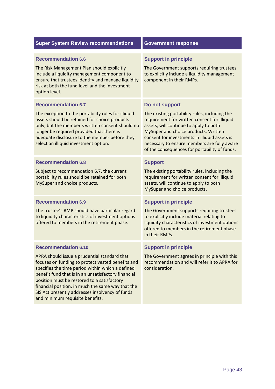| <b>Super System Review recommendations</b>                                                                                                                                                                                                                                                                                                                                                        | <b>Government response</b>                                                                                                                                                                                                                                                                                                                         |  |
|---------------------------------------------------------------------------------------------------------------------------------------------------------------------------------------------------------------------------------------------------------------------------------------------------------------------------------------------------------------------------------------------------|----------------------------------------------------------------------------------------------------------------------------------------------------------------------------------------------------------------------------------------------------------------------------------------------------------------------------------------------------|--|
| <b>Recommendation 6.6</b><br>The Risk Management Plan should explicitly<br>include a liquidity management component to<br>ensure that trustees identify and manage liquidity<br>risk at both the fund level and the investment<br>option level.                                                                                                                                                   | <b>Support in principle</b><br>The Government supports requiring trustees<br>to explicitly include a liquidity management<br>component in their RMPs.                                                                                                                                                                                              |  |
| <b>Recommendation 6.7</b><br>The exception to the portability rules for illiquid<br>assets should be retained for choice products<br>only, but the member's written consent should no<br>longer be required provided that there is<br>adequate disclosure to the member before they<br>select an illiquid investment option.                                                                      | Do not support<br>The existing portability rules, including the<br>requirement for written consent for illiquid<br>assets, will continue to apply to both<br>MySuper and choice products. Written<br>consent for investments in illiquid assets is<br>necessary to ensure members are fully aware<br>of the consequences for portability of funds. |  |
| <b>Recommendation 6.8</b><br>Subject to recommendation 6.7, the current<br>portability rules should be retained for both<br>MySuper and choice products.                                                                                                                                                                                                                                          | <b>Support</b><br>The existing portability rules, including the<br>requirement for written consent for illiquid<br>assets, will continue to apply to both<br>MySuper and choice products.                                                                                                                                                          |  |
| <b>Recommendation 6.9</b><br>The trustee's RMP should have particular regard<br>to liquidity characteristics of investment options<br>offered to members in the retirement phase.                                                                                                                                                                                                                 | <b>Support in principle</b><br>The Government supports requiring trustees<br>to explicitly include material relating to<br>liquidity characteristics of investment options<br>offered to members in the retirement phase<br>in their RMPs.                                                                                                         |  |
| <b>Recommendation 6.10</b><br>APRA should issue a prudential standard that<br>focuses on funding to protect vested benefits and<br>specifies the time period within which a defined<br>benefit fund that is in an unsatisfactory financial<br>position must be restored to a satisfactory<br>financial position, in much the same way that the<br>SIS Act presently addresses insolvency of funds | <b>Support in principle</b><br>The Government agrees in principle with this<br>recommendation and will refer it to APRA for<br>consideration.                                                                                                                                                                                                      |  |

minimum requisite benefits.

and minimum requisite benefits.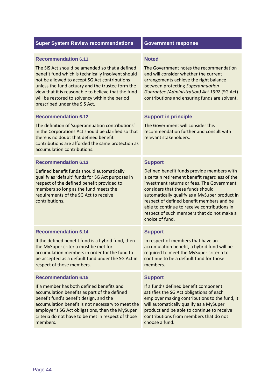#### **Recommendation 6.11**

 The SIS Act should be amended so that a defined benefit fund which is technically insolvent should not be allowed to accept SG Act contributions unless the fund actuary and the trustee form the view that it is reasonable to believe that the fund will be restored to solvency within the period prescribed under the SIS Act.

#### **Recommendation 6.12**

 The definition of 'superannuation contributions' in the Corporations Act should be clarified so that there is no doubt that defined benefit contributions are afforded the same protection as accumulation contributions.

#### **Recommendation 6.13**

 Defined benefit funds should automatically qualify as 'default' funds for SG Act purposes in respect of the defined benefit provided to members so long as the fund meets the requirements of the SG Act to receive contributions.

If the defined benefit fund is a hybrid fund, then

 accumulation members in order for the fund to be accepted as a default fund under the SG Act in

the MySuper criteria must be met for

### **Noted**

 The Government notes the recommendation and will consider whether the current arrangements achieve the right balance between protecting *Superannuation Guarantee (Administration) Act 1992* (SG Act) contributions and ensuring funds are solvent.

### **Support in principle**

 The Government will consider this recommendation further and consult with relevant stakeholders.

#### **Support**

 Defined benefit funds provide members with a certain retirement benefit regardless of the investment returns or fees. The Government considers that these funds should automatically qualify as a MySuper product in respect of defined benefit members and be able to continue to receive contributions in respect of such members that do not make a choice of fund.

#### **Support**

 In respect of members that have an accumulation benefit, a hybrid fund will be required to meet the MySuper criteria to continue to be a default fund for those members.

#### **Recommendation 6.15**

respect of those members.

**Recommendation 6.14** 

 If a member has both defined benefits and accumulation benefits as part of the defined benefit fund's benefit design, and the accumulation benefit is not necessary to meet the employer's SG Act obligations, then the MySuper criteria do not have to be met in respect of those members.

#### **Support**

 If a fund's defined benefit component satisfies the SG Act obligations of each employer making contributions to the fund, it will automatically qualify as a MySuper product and be able to continue to receive contributions from members that do not choose a fund.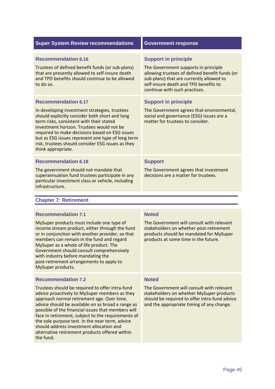|  |  |  | <b>Super System Review recommendations</b> |
|--|--|--|--------------------------------------------|
|--|--|--|--------------------------------------------|

#### **Recommendation 6.16** Support in principle

 Trustees of defined benefit funds (or sub‐plans) The Government supports in principle that are presently allowed to self‐insure death allowing trustees of defined benefit funds (or and TPD benefits should continue to be allowed sub-plans) that are currently allowed to to do so. to do so. self-insure death and TPD benefits to

#### **Recommendation 6.17**

 In developing investment strategies, trustees should explicitly consider both short and long term risks, consistent with their stated investment horizon. Trustees would not be required to make decisions based on ESG issues but as ESG issues represent one type of long term risk, trustees should consider ESG issues as they think appropriate.

#### **Recommendation 6.18 Support 3 Support**

 The government should not mandate that superannuation fund trustees participate in any particular investment class or vehicle, including infrastructure.

#### **Chapter 7: Retirement**

#### **Recommendation 7.1**

 MySuper products must include one type of income stream product, either through the fund or in conjunction with another provider, so that members can remain in the fund and regard MySuper as a whole of life product. The Government should consult comprehensively with industry before mandating the post‐retirement arrangements to apply to MySuper products.

#### **Recommendation 7.2**

 Trustees should be required to offer intra‐fund advice proactively to MySuper members as they approach normal retirement age. Over time, advice should be available on as broad a range as possible of the financial issues that members will face in retirement, subject to the requirements of the sole purpose test. In the near term, advice should address investment allocation and alternative retirement products offered within the fund.

# **Government response**

The Government supports in principle allowing trustees of defined benefit funds (or sub-plans) that are currently allowed to continue with such practices.

# **Support in principle**

 The Government agrees that environmental, social and governance (ESG) issues are a matter for trustees to consider.

 The Government agrees that investment decisions are a matter for trustees.

### **Noted**

 The Government will consult with relevant stakeholders on whether post‐retirement products should be mandated for MySuper products at some time in the future.

#### **Noted**

 The Government will consult with relevant stakeholders on whether MySuper products should be required to offer intra‐fund advice and the appropriate timing of any change.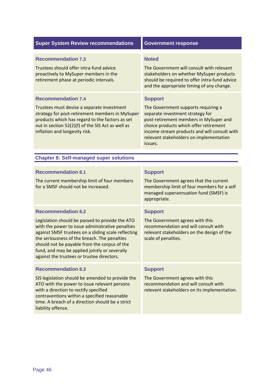| <b>Super System Review recommendations</b>                                                                                                                                                                                                                                                                                                                                             | <b>Government response</b>                                                                                                                                                                                                                                                          |  |
|----------------------------------------------------------------------------------------------------------------------------------------------------------------------------------------------------------------------------------------------------------------------------------------------------------------------------------------------------------------------------------------|-------------------------------------------------------------------------------------------------------------------------------------------------------------------------------------------------------------------------------------------------------------------------------------|--|
| <b>Recommendation 7.3</b><br>Trustees should offer intra-fund advice<br>proactively to MySuper members in the<br>retirement phase at periodic intervals.                                                                                                                                                                                                                               | <b>Noted</b><br>The Government will consult with relevant<br>stakeholders on whether MySuper products<br>should be required to offer intra-fund advice<br>and the appropriate timing of any change.                                                                                 |  |
| <b>Recommendation 7.4</b><br>Trustees must devise a separate investment<br>strategy for post-retirement members in MySuper<br>products which has regard to the factors as set<br>out in section 52(2)(f) of the SIS Act as well as<br>inflation and longevity risk.                                                                                                                    | <b>Support</b><br>The Government supports requiring a<br>separate investment strategy for<br>post-retirement members in MySuper and<br>choice products which offer retirement<br>income stream products and will consult with<br>relevant stakeholders on implementation<br>issues. |  |
| <b>Chapter 8: Self-managed super solutions</b>                                                                                                                                                                                                                                                                                                                                         |                                                                                                                                                                                                                                                                                     |  |
| <b>Recommendation 8.1</b><br>The current membership limit of four members<br>for a SMSF should not be increased.                                                                                                                                                                                                                                                                       | <b>Support</b><br>The Government agrees that the current<br>membership limit of four members for a self<br>managed superannuation fund (SMSF) is<br>appropriate.                                                                                                                    |  |
| <b>Recommendation 8.2</b><br>Legislation should be passed to provide the ATO<br>with the power to issue administrative penalties<br>against SMSF trustees on a sliding scale reflecting<br>the seriousness of the breach. The penalties<br>should not be payable from the corpus of the<br>fund, and may be applied jointly or severally<br>against the trustees or trustee directors. | <b>Support</b><br>The Government agrees with this<br>recommendation and will consult with<br>relevant stakeholders on the design of the<br>scale of penalties.                                                                                                                      |  |
| <b>Recommendation 8.3</b><br>SIS legislation should be amended to provide the<br>ATO with the power to issue relevant persons<br>with a direction to rectify specified<br>contraventions within a specified reasonable<br>time. A breach of a direction should be a strict<br>liability offence.                                                                                       | <b>Support</b><br>The Government agrees with this<br>recommendation and will consult with<br>relevant stakeholders on its implementation.                                                                                                                                           |  |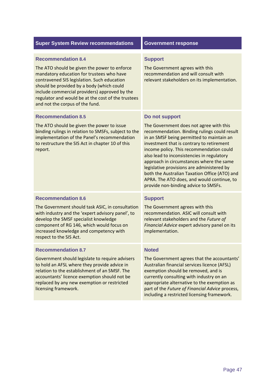| <b>Super System Review recommendations</b>                                                                                                                                                                                                                                                                                                                   | <b>Government response</b>                                                                                                                                                                                                                                                                                                                                                                                                                                                                                                     |
|--------------------------------------------------------------------------------------------------------------------------------------------------------------------------------------------------------------------------------------------------------------------------------------------------------------------------------------------------------------|--------------------------------------------------------------------------------------------------------------------------------------------------------------------------------------------------------------------------------------------------------------------------------------------------------------------------------------------------------------------------------------------------------------------------------------------------------------------------------------------------------------------------------|
| <b>Recommendation 8.4</b><br>The ATO should be given the power to enforce<br>mandatory education for trustees who have<br>contravened SIS legislation. Such education<br>should be provided by a body (which could<br>include commercial providers) approved by the<br>regulator and would be at the cost of the trustees<br>and not the corpus of the fund. | <b>Support</b><br>The Government agrees with this<br>recommendation and will consult with<br>relevant stakeholders on its implementation.                                                                                                                                                                                                                                                                                                                                                                                      |
| <b>Recommendation 8.5</b><br>The ATO should be given the power to issue<br>binding rulings in relation to SMSFs, subject to the<br>implementation of the Panel's recommendation<br>to restructure the SIS Act in chapter 10 of this<br>report.                                                                                                               | Do not support<br>The Government does not agree with this<br>recommendation. Binding rulings could result<br>in an SMSF being permitted to maintain an<br>investment that is contrary to retirement<br>income policy. This recommendation could<br>also lead to inconsistencies in regulatory<br>approach in circumstances where the same<br>legislative provisions are administered by<br>both the Australian Taxation Office (ATO) and<br>APRA. The ATO does, and would continue, to<br>provide non-binding advice to SMSFs. |
| <b>Recommendation 8.6</b><br>The Government should task ASIC, in consultation<br>with industry and the 'expert advisory panel', to<br>develop the SMSF specialist knowledge<br>component of RG 146, which would focus on<br>increased knowledge and competency with<br>respect to the SIS Act.                                                               | <b>Support</b><br>The Government agrees with this<br>recommendation. ASIC will consult with<br>relevant stakeholders and the Future of<br>Financial Advice expert advisory panel on its<br>implementation.                                                                                                                                                                                                                                                                                                                     |
| <b>Recommendation 8.7</b><br>Government should legislate to require advisers<br>to hold an AFSL where they provide advice in<br>relation to the establishment of an SMSF. The<br>accountants' licence exemption should not be<br>replaced by any new exemption or restricted<br>licensing framework.                                                         | <b>Noted</b><br>The Government agrees that the accountants'<br>Australian financial services licence (AFSL)<br>exemption should be removed, and is<br>currently consulting with industry on an<br>appropriate alternative to the exemption as<br>part of the Future of Financial Advice process,<br>including a restricted licensing framework.                                                                                                                                                                                |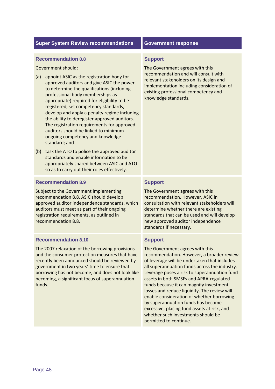#### **Recommendation 8.8**

Government should:

- (a) appoint ASIC as the registration body for approved auditors and give ASIC the power to determine the qualifications (including professional body memberships as appropriate) required for eligibility to be registered, set competency standards, develop and apply a penalty regime including the ability to deregister approved auditors. The registration requirements for approved auditors should be linked to minimum ongoing competency and knowledge standard; and
- (b) task the ATO to police the approved auditor standards and enable information to be appropriately shared between ASIC and ATO so as to carry out their roles effectively.

#### **Recommendation 8.9**

 Subject to the Government implementing recommendation 8.8, ASIC should develop approved auditor independence standards, which auditors must meet as part of their ongoing registration requirements, as outlined in recommendation 8.8.

#### **Recommendation 8.10**

 The 2007 relaxation of the borrowing provisions and the consumer protection measures that have recently been announced should be reviewed by government in two years' time to ensure that borrowing has not become, and does not look like becoming, a significant focus of superannuation funds.

#### **Support**

 The Government agrees with this recommendation and will consult with relevant stakeholders on its design and implementation including consideration of existing professional competency and knowledge standards.

#### **Support**

 The Government agrees with this recommendation. However, ASIC in consultation with relevant stakeholders will determine whether there are existing standards that can be used and will develop new approved auditor independence standards if necessary.

### **Support**

 The Government agrees with this recommendation. However, a broader review of leverage will be undertaken that includes all superannuation funds across the industry. Leverage poses a risk to superannuation fund assets in both SMSFs and APRA‐regulated funds because it can magnify investment losses and reduce liquidity. The review will enable consideration of whether borrowing by superannuation funds has become excessive, placing fund assets at risk, and whether such investments should be permitted to continue.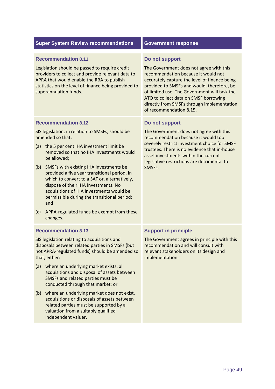| <b>Super System Review recommendations</b>                                                                                                                                                                                                                                                                                                                                                                                                                                                                                                                                             | <b>Government response</b>                                                                                                                                                                                                                                                                                                                                        |
|----------------------------------------------------------------------------------------------------------------------------------------------------------------------------------------------------------------------------------------------------------------------------------------------------------------------------------------------------------------------------------------------------------------------------------------------------------------------------------------------------------------------------------------------------------------------------------------|-------------------------------------------------------------------------------------------------------------------------------------------------------------------------------------------------------------------------------------------------------------------------------------------------------------------------------------------------------------------|
| <b>Recommendation 8.11</b><br>Legislation should be passed to require credit<br>providers to collect and provide relevant data to<br>APRA that would enable the RBA to publish<br>statistics on the level of finance being provided to<br>superannuation funds.                                                                                                                                                                                                                                                                                                                        | Do not support<br>The Government does not agree with this<br>recommendation because it would not<br>accurately capture the level of finance being<br>provided to SMSFs and would, therefore, be<br>of limited use. The Government will task the<br>ATO to collect data on SMSF borrowing<br>directly from SMSFs through implementation<br>of recommendation 8.15. |
| <b>Recommendation 8.12</b><br>SIS legislation, in relation to SMSFs, should be<br>amended so that:<br>the 5 per cent IHA investment limit be<br>(a)<br>removed so that no IHA investments would<br>be allowed;<br>SMSFs with existing IHA investments be<br>(b)<br>provided a five year transitional period, in<br>which to convert to a SAF or, alternatively,<br>dispose of their IHA investments. No<br>acquisitions of IHA investments would be<br>permissible during the transitional period;<br>and<br>APRA-regulated funds be exempt from these<br>(c)<br>changes.              | Do not support<br>The Government does not agree with this<br>recommendation because it would too<br>severely restrict investment choice for SMSF<br>trustees. There is no evidence that in-house<br>asset investments within the current<br>legislative restrictions are detrimental to<br>SMSFs.                                                                 |
| <b>Recommendation 8.13</b><br>SIS legislation relating to acquisitions and<br>disposals between related parties in SMSFs (but<br>not APRA-regulated funds) should be amended so<br>that, either:<br>where an underlying market exists, all<br>(a)<br>acquisitions and disposal of assets between<br>SMSFs and related parties must be<br>conducted through that market; or<br>where an underlying market does not exist,<br>(b)<br>acquisitions or disposals of assets between<br>related parties must be supported by a<br>valuation from a suitably qualified<br>independent valuer. | <b>Support in principle</b><br>The Government agrees in principle with this<br>recommendation and will consult with<br>relevant stakeholders on its design and<br>implementation.                                                                                                                                                                                 |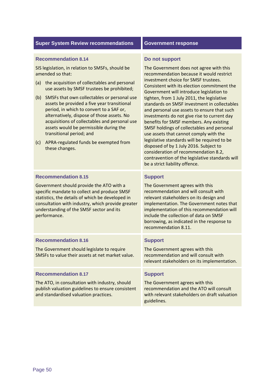#### **Recommendation 8.14**

 SIS legislation, in relation to SMSFs, should be amended so that:

- (a) the acquisition of collectables and personal use assets by SMSF trustees be prohibited;
- (b) SMSFs that own collectables or personal use assets be provided a five year transitional period, in which to convert to a SAF or, alternatively, dispose of those assets. No acquisitions of collectables and personal use assets would be permissible during the transitional period; and
- (c) APRA‐regulated funds be exempted from these changes.

 Government should provide the ATO with a specific mandate to collect and produce SMSF statistics, the details of which be developed in consultation with industry, which provide greater

understanding of the SMSF sector and its

#### **Do not support**

 The Government does not agree with this recommendation because it would restrict investment choice for SMSF trustees. Consistent with its election commitment the Government will introduce legislation to tighten, from 1 July 2011, the legislative standards on SMSF investment in collectables and personal use assets to ensure that such investments do not give rise to current day benefits for SMSF members. Any existing SMSF holdings of collectables and personal use assets that cannot comply with the legislative standards will be required to be disposed of by 1 July 2016. Subject to consideration of recommendation 8.2, contravention of the legislative standards will be a strict liability offence.

#### **Support**

 The Government agrees with this recommendation and will consult with relevant stakeholders on its design and implementation. The Government notes that implementation of this recommendation will include the collection of data on SMSF borrowing, as indicated in the response to recommendation 8.11.

#### **Recommendation 8.16 Support 3 Support**

The Government should legislate to require The Government agrees with this SMSFs to value their assets at net market value. For recommendation and will consult with The Government agrees with this recommendation and will consult with relevant stakeholders on its implementation.

# **Recommendation 8.17 Support 3.17**

performance.

**Recommendation 8.15** 

The ATO, in consultation with industry, should The Government agrees with this publish valuation guidelines to ensure consistent recommendation and the ATO will consult and standardised valuation practices. and standardised valuation practices. with relevant stakeholders on draft valuation

The Government agrees with this recommendation and the ATO will consult guidelines.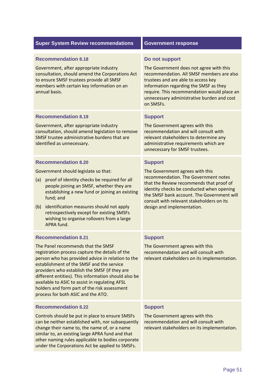| <b>Super System Review recommendations</b>                                                                                                                                                                                                                                                                                                                                                                                                                             | <b>Government response</b>                                                                                                                                                                                                                                                                                  |
|------------------------------------------------------------------------------------------------------------------------------------------------------------------------------------------------------------------------------------------------------------------------------------------------------------------------------------------------------------------------------------------------------------------------------------------------------------------------|-------------------------------------------------------------------------------------------------------------------------------------------------------------------------------------------------------------------------------------------------------------------------------------------------------------|
| <b>Recommendation 8.18</b><br>Government, after appropriate industry<br>consultation, should amend the Corporations Act<br>to ensure SMSF trustees provide all SMSF<br>members with certain key information on an<br>annual basis.                                                                                                                                                                                                                                     | Do not support<br>The Government does not agree with this<br>recommendation. All SMSF members are also<br>trustees and are able to access key<br>information regarding the SMSF as they<br>require. This recommendation would place an<br>unnecessary administrative burden and cost<br>on SMSFs.           |
| <b>Recommendation 8.19</b><br>Government, after appropriate industry<br>consultation, should amend legislation to remove<br>SMSF trustee administrative burdens that are<br>identified as unnecessary.                                                                                                                                                                                                                                                                 | <b>Support</b><br>The Government agrees with this<br>recommendation and will consult with<br>relevant stakeholders to determine any<br>administrative requirements which are<br>unnecessary for SMSF trustees.                                                                                              |
| <b>Recommendation 8.20</b><br>Government should legislate so that:<br>proof of identity checks be required for all<br>(a)<br>people joining an SMSF, whether they are<br>establishing a new fund or joining an existing<br>fund; and<br>identification measures should not apply<br>(b)<br>retrospectively except for existing SMSFs<br>wishing to organise rollovers from a large<br>APRA fund.                                                                       | <b>Support</b><br>The Government agrees with this<br>recommendation. The Government notes<br>that the Review recommends that proof of<br>identity checks be conducted when opening<br>the SMSF bank account. The Government will<br>consult with relevant stakeholders on its<br>design and implementation. |
| <b>Recommendation 8.21</b><br>The Panel recommends that the SMSF<br>registration process capture the details of the<br>person who has provided advice in relation to the<br>establishment of the SMSF and the service<br>providers who establish the SMSF (if they are<br>different entities). This information should also be<br>available to ASIC to assist in regulating AFSL<br>holders and form part of the risk assessment<br>process for both ASIC and the ATO. | <b>Support</b><br>The Government agrees with this<br>recommendation and will consult with<br>relevant stakeholders on its implementation.                                                                                                                                                                   |
| <b>Recommendation 8.22</b><br>Controls should be put in place to ensure SMSFs<br>can be neither established with, nor subsequently<br>change their name to, the name of, or a name<br>similar to, an existing large APRA fund and that<br>other naming rules applicable to bodies corporate<br>under the Corporations Act be applied to SMSFs.                                                                                                                         | <b>Support</b><br>The Government agrees with this<br>recommendation and will consult with<br>relevant stakeholders on its implementation.                                                                                                                                                                   |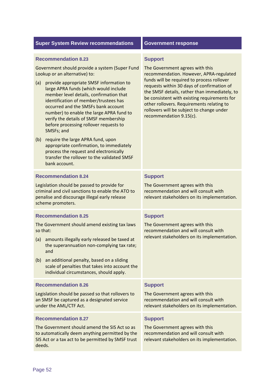|  | <b>Super System Review recommendations</b> |  |  |
|--|--------------------------------------------|--|--|
|--|--------------------------------------------|--|--|

### **Recommendation 8.23**

 Government should provide a system (Super Fund Lookup or an alternative) to:

- (a) provide appropriate SMSF information to large APRA funds (which would include member level details, confirmation that identification of member/trustees has occurred and the SMSFs bank account number) to enable the large APRA fund to verify the details of SMSF membership before processing rollover requests to SMSFs; and
- (b) require the large APRA fund, upon appropriate confirmation, to immediately process the request and electronically transfer the rollover to the validated SMSF bank account.

#### **Government response**

#### **Support**

 The Government agrees with this recommendation. However, APRA‐regulated funds will be required to process rollover requests within 30 days of confirmation of the SMSF details, rather than immediately, to be consistent with existing requirements for other rollovers. Requirements relating to rollovers will be subject to change under recommendation 9.15(c).

### **Recommendation 8.24 Support 3.24**

Legislation should be passed to provide for The Government agrees with this criminal and civil sanctions to enable the ATO to recommendation and will consult with penalise and discourage illegal early release scheme promoters. penalise and discourage illegal early release relevant stakeholders on its implementation.

#### **Recommendation 8.25 Support Inc. Accommendation 8.25**

The Government should amend existing tax laws The Government agrees with this so that: so that: recommendation and will consult with

- (a) amounts illegally early released be taxed at relevant stakeholders on its implementation. the superannuation non‐complying tax rate; and
- (b) an additional penalty, based on a sliding scale of penalties that takes into account the individual circumstances, should apply.

#### **Recommendation 8.26 Support Support**

Legislation should be passed so that rollovers to The Government agrees with this an SMSF be captured as a designated service **recommendation and will consult with** under the AML/CTF Act. under the AML/CTF Act. **relevant stakeholders on its implementation**.

#### **Recommendation 8.27 Support 3.27**

The Government should amend the SIS Act so as The Government agrees with this to automatically deem anything permitted by the **recommendation and will consult with** SIS Act or a tax act to be permitted by SMSF trust relevant stakeholders on its implementation. deeds.

The Government agrees with this recommendation and will consult with

The Government agrees with this relevant stakeholders on its implementation.

The Government agrees with this recommendation and will consult with

The Government agrees with this recommendation and will consult with relevant stakeholders on its implementation.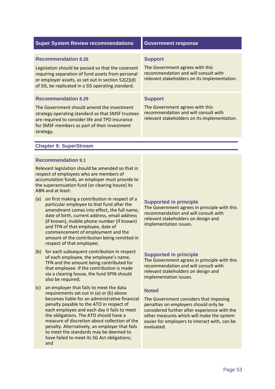| <b>Super System Review recommendations</b>                                                                                                                                                                         | <b>Government response</b>                                                                                              |
|--------------------------------------------------------------------------------------------------------------------------------------------------------------------------------------------------------------------|-------------------------------------------------------------------------------------------------------------------------|
|                                                                                                                                                                                                                    |                                                                                                                         |
| <b>Recommendation 8.28</b>                                                                                                                                                                                         | <b>Support</b>                                                                                                          |
| Legislation should be passed so that the covenant<br>requiring separation of fund assets from personal<br>or employer assets, as set out in section 52(2)(d)<br>of SIS, be replicated in a SIS operating standard. | The Government agrees with this<br>recommendation and will consult with<br>relevant stakeholders on its implementation. |
| <b>Recommendation 8.29</b>                                                                                                                                                                                         | <b>Support</b>                                                                                                          |
| The Government should amend the investment<br>strategy operating standard so that SMSF trustees<br>are required to consider life and TPD insurance<br>for SMSF members as part of their investment<br>strategy.    | The Government agrees with this<br>recommendation and will consult with<br>relevant stakeholders on its implementation. |
|                                                                                                                                                                                                                    |                                                                                                                         |
| <b>Chapter 9: SuperStream</b>                                                                                                                                                                                      |                                                                                                                         |
|                                                                                                                                                                                                                    |                                                                                                                         |

#### **Recommendation 9.1**

 Relevant legislation should be amended so that in respect of employees who are members of accumulation funds, an employer must provide to the superannuation fund (or clearing house) its ABN and at least:

- (a) on first making a contribution in respect of a particular employee to that fund after the amendment comes into effect, the full name, date of birth, current address, email address (if known), mobile phone number (if known) and TFN of that employee, date of commencement of employment and the amount of the contribution being remitted in respect of that employee;
- (b) for each subsequent contribution in respect of each employee, the employee's name, TFN and the amount being contributed for that employee. If the contribution is made via a clearing house, the fund SPIN should also be required;
- (c) an employer that fails to meet the data requirements set out in (a) or (b) above becomes liable for an administrative financial penalty payable to the ATO in respect of each employee and each day it fails to meet the obligations. The ATO should have a measure of discretion about collection of the penalty. Alternatively, an employer that fails to meet the standards may be deemed to have failed to meet its SG Act obligations; and

# **Supported in principle**

 The Government agrees in principle with this recommendation and will consult with relevant stakeholders on design and implementation issues.

### **Supported in principle**

 The Government agrees in principle with this recommendation and will consult with relevant stakeholders on design and implementation issues.

### **Noted**

 The Government considers that imposing penalties on employers should only be considered further after experience with the other measures which will make the system easier for employers to interact with, can be evaluated.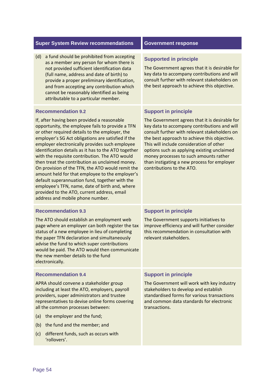(d) a fund should be prohibited from accepting as a member any person for whom there is not provided sufficient identification data (full name, address and date of birth) to provide a proper preliminary identification, and from accepting any contribution which cannot be reasonably identified as being attributable to a particular member.

# **Recommendation 9.2**

 If, after having been provided a reasonable opportunity, the employee fails to provide a TFN or other required details to the employer, the employer's SG Act obligations are satisfied if the employer electronically provides such employee identification details as it has to the ATO together with the requisite contribution. The ATO would then treat the contribution as unclaimed money. On provision of the TFN, the ATO would remit the amount held for that employee to the employer's default superannuation fund, together with the employee's TFN, name, date of birth and, where provided to the ATO, current address, email address and mobile phone number.

# **Recommendation 9.3**

 The ATO should establish an employment web page where an employer can both register the tax status of a new employee in lieu of completing the paper TFN declaration and simultaneously advise the fund to which super contributions would be paid. The ATO would then communicate the new member details to the fund electronically.

# **Recommendation 9.4**

 APRA should convene a stakeholder group including at least the ATO, employers, payroll providers, super administrators and trustee representatives to devise online forms covering all the common processes between:

- (a) the employer and the fund;
- (b) the fund and the member; and
- (c) different funds, such as occurs with 'rollovers'.

# **Supported in principle**

 The Government agrees that it is desirable for key data to accompany contributions and will consult further with relevant stakeholders on the best approach to achieve this objective.

# **Support in principle**

 The Government agrees that it is desirable for key data to accompany contributions and will consult further with relevant stakeholders on the best approach to achieve this objective. This will include consideration of other options such as applying existing unclaimed money processes to such amounts rather than instigating a new process for employer contributions to the ATO.

# **Support in principle**

 The Government supports initiatives to improve efficiency and will further consider this recommendation in consultation with relevant stakeholders.

# **Support in principle**

 The Government will work with key industry stakeholders to develop and establish standardised forms for various transactions and common data standards for electronic transactions.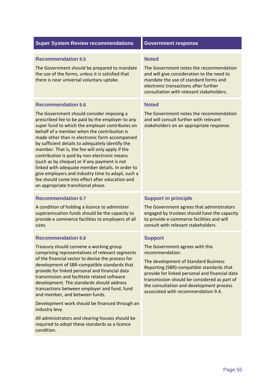#### **Recommendation 9.5 Noted Noted**

The Government should be prepared to mandate The Government notes the recommendation the use of the forms, unless it is satisfied that and will give consideration to the need to there is near universal voluntary uptake. mandate the use of standard forms and

#### **Recommendation 9.6**

 The Government should consider imposing a prescribed fee to be paid by the employer to any super fund to which the employer contributes on behalf of a member when the contribution is made other than in electronic form accompanied by sufficient details to adequately identify the member. That is, the fee will only apply if the contribution is paid by non‐electronic means (such as by cheque) or if any payment is not linked with adequate member details. In order to give employers and industry time to adapt, such a fee should come into effect after education and an appropriate transitional phase.

#### **Recommendation 9.7 Support in principle 3.7** Support in principle

A condition of holding a licence to administer The Government agrees that administrators superannuation funds should be the capacity to longaged by trustees should have the capacity provide e commerce facilities to employers of all to provide e-commerce facilities and will sizes. consult with relevant stakeholders.

#### **Recommendation 9.8**

 Treasury should convene a working group comprising representatives of relevant segments of the financial sector to devise the process for development of SBR‐compatible standards that provide for linked personal and financial data transmission and facilitate related software development. The standards should address transactions between employer and fund, fund and member, and between funds.

 Development work should be financed through an industry levy.

 All administrators and clearing houses should be required to adopt these standards as a licence condition.

The Government notes the recommendation and will give consideration to the need to mandate the use of standard forms and electronic transactions after further consultation with relevant stakeholders.

#### **Noted**

 The Government notes the recommendation and will consult further with relevant stakeholders on an appropriate response.

The Government agrees that administrators engaged by trustees should have the capacity to provide e-commerce facilities and will

#### **Support**

 The Government agrees with this recommendation.

 The development of Standard Business Reporting (SBR)‐compatible standards that provide for linked personal and financial data transmission should be considered as part of the consultation and development process associated with recommendation 9.4.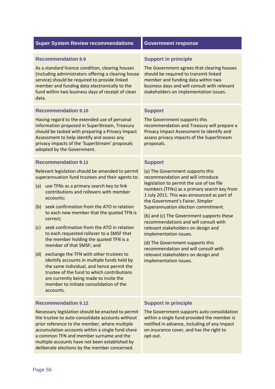| <b>Super System Review recommendations</b>                                                                                                                                                                                                                                                                                                                                                                                                                                                                                                                                                                                                                                                                                                                                                                                         | <b>Government response</b>                                                                                                                                                                                                                                                                                                                                                                                                                                                                                                                                                                                       |
|------------------------------------------------------------------------------------------------------------------------------------------------------------------------------------------------------------------------------------------------------------------------------------------------------------------------------------------------------------------------------------------------------------------------------------------------------------------------------------------------------------------------------------------------------------------------------------------------------------------------------------------------------------------------------------------------------------------------------------------------------------------------------------------------------------------------------------|------------------------------------------------------------------------------------------------------------------------------------------------------------------------------------------------------------------------------------------------------------------------------------------------------------------------------------------------------------------------------------------------------------------------------------------------------------------------------------------------------------------------------------------------------------------------------------------------------------------|
| <b>Recommendation 9.9</b><br>As a standard licence condition, clearing houses<br>(including administrators offering a clearing house<br>service) should be required to provide linked<br>member and funding data electronically to the<br>fund within two business days of receipt of clean<br>data.<br><b>Recommendation 9.10</b><br>Having regard to the extended use of personal                                                                                                                                                                                                                                                                                                                                                                                                                                                | <b>Support in principle</b><br>The Government agrees that clearing houses<br>should be required to transmit linked<br>member and funding data within two<br>business days and will consult with relevant<br>stakeholders on implementation issues.<br><b>Support</b><br>The Government supports this                                                                                                                                                                                                                                                                                                             |
| information proposed in SuperStream, Treasury<br>should be tasked with preparing a Privacy Impact<br>Assessment to help identify and assess any<br>privacy impacts of the 'SuperStream' proposals<br>adopted by the Government.                                                                                                                                                                                                                                                                                                                                                                                                                                                                                                                                                                                                    | recommendation and Treasury will prepare a<br>Privacy Impact Assessment to identify and<br>assess privacy impacts of the SuperStream<br>proposals.                                                                                                                                                                                                                                                                                                                                                                                                                                                               |
| <b>Recommendation 9.11</b><br>Relevant legislation should be amended to permit<br>superannuation fund trustees and their agents to:<br>use TFNs as a primary search key to link<br>(a)<br>contributions and rollovers with member<br>accounts;<br>seek confirmation from the ATO in relation<br>(b)<br>to each new member that the quoted TFN is<br>correct;<br>seek confirmation from the ATO in relation<br>(c)<br>to each requested rollover to a SMSF that<br>the member holding the quoted TFN is a<br>member of that SMSF; and<br>exchange the TFN with other trustees to<br>(d)<br>identify accounts in multiple funds held by<br>the same individual, and hence permit the<br>trustee of the fund to which contributions<br>are currently being made to invite the<br>member to initiate consolidation of the<br>accounts. | <b>Support</b><br>(a) The Government supports this<br>recommendation and will introduce<br>legislation to permit the use of tax file<br>numbers (TFNs) as a primary search key from<br>1 July 2011. This was announced as part of<br>the Government's Fairer, Simpler<br>Superannuation election commitment.<br>(b) and (c) The Government supports these<br>recommendations and will consult with<br>relevant stakeholders on design and<br>implementation issues.<br>(d) The Government supports this<br>recommendation and will consult with<br>relevant stakeholders on design and<br>implementation issues. |
| <b>Recommendation 9.12</b><br>Necessary legislation should be enacted to permit<br>the trustee to auto-consolidate accounts without                                                                                                                                                                                                                                                                                                                                                                                                                                                                                                                                                                                                                                                                                                | <b>Support in principle</b><br>The Government supports auto consolidation<br>within a single fund provided the member is                                                                                                                                                                                                                                                                                                                                                                                                                                                                                         |

trustee to auto-consolidate accounts without reference to the member, where multiple accumulation accounts within a single fund share a common TFN and member surname and the multiple accounts have not been established by deliberate elections by the member concerned. the trustee to auto‐consolidate accounts without prior reference to the member, where multiple

a single fund provided the member is notified in advance, including of any impact on insurance cover, and has the right to opt‐out. within a single fund provided the member is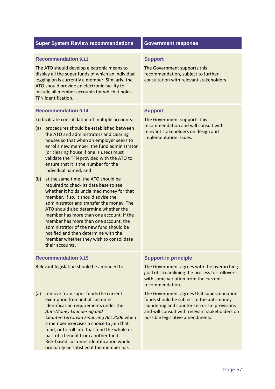| <b>Super System Review recommendations</b>                                                                                                                                                                                                                                                                                                                                                                                                                                                           | <b>Government response</b>                                                                                                                                                                                                  |
|------------------------------------------------------------------------------------------------------------------------------------------------------------------------------------------------------------------------------------------------------------------------------------------------------------------------------------------------------------------------------------------------------------------------------------------------------------------------------------------------------|-----------------------------------------------------------------------------------------------------------------------------------------------------------------------------------------------------------------------------|
| <b>Recommendation 9.13</b><br>The ATO should develop electronic means to<br>display all the super funds of which an individual<br>logging on is currently a member. Similarly, the<br>ATO should provide an electronic facility to<br>include all member accounts for which it holds<br>TFN identification.                                                                                                                                                                                          | <b>Support</b><br>The Government supports this<br>recommendation, subject to further<br>consultation with relevant stakeholders.                                                                                            |
| <b>Recommendation 9.14</b><br>To facilitate consolidation of multiple accounts:<br>procedures should be established between<br>(a)<br>the ATO and administrators and clearing<br>houses so that when an employer seeks to<br>enrol a new member, the fund administrator<br>(or clearing house if one is used) must<br>validate the TFN provided with the ATO to<br>ensure that it is the number for the<br>individual named; and                                                                     | <b>Support</b><br>The Government supports this<br>recommendation and will consult with<br>relevant stakeholders on design and<br>implementation issues.                                                                     |
| at the same time, the ATO should be<br>(b)<br>required to check its data base to see<br>whether it holds unclaimed money for that<br>member. If so, it should advise the<br>administrator and transfer the money. The<br>ATO should also determine whether the<br>member has more than one account. If the<br>member has more than one account, the<br>administrator of the new fund should be<br>notified and then determine with the<br>member whether they wish to consolidate<br>their accounts. |                                                                                                                                                                                                                             |
| <b>Recommendation 9.15</b><br>Relevant legislation should be amended to:                                                                                                                                                                                                                                                                                                                                                                                                                             | <b>Support in principle</b><br>The Government agrees with the overarching<br>goal of streamlining the process for rollovers<br>with some variation from the current<br>recommendation.                                      |
| (a)<br>remove from super funds the current<br>exemption from initial customer<br>identification requirements under the<br>Anti-Money Laundering and<br>Counter-Terrorism Financing Act 2006 when<br>a member exercises a choice to join that<br>fund, or to roll into that fund the whole or<br>part of a benefit from another fund.<br>Risk-based customer identification would                                                                                                                     | The Government agrees that superannuation<br>funds should be subject to the anti-money<br>laundering and counter-terrorism provisions<br>and will consult with relevant stakeholders on<br>possible legislative amendments. |

ordinarily be satisfied if the member has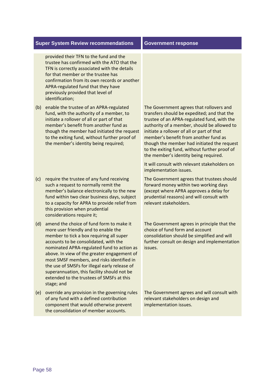provided their TFN to the fund and the trustee has confirmed with the ATO that the TFN is correctly associated with the details for that member or the trustee has confirmation from its own records or another APRA‐regulated fund that they have previously provided that level of identification;

- (b) enable the trustee of an APRA-regulated fund, with the authority of a member, to initiate a rollover of all or part of that member's benefit from another fund as though the member had initiated the request to the exiting fund, without further proof of the member's identity being required;
- (c) require the trustee of any fund receiving such a request to normally remit the member's balance electronically to the new fund within two clear business days, subject to a capacity for APRA to provide relief from this provision when prudential considerations require it;
- (d) amend the choice of fund form to make it more user friendly and to enable the member to tick a box requiring all super accounts to be consolidated, with the nominated APRA‐regulated fund to action as above. In view of the greater engagement of most SMSF members, and risks identified in the use of SMSFs for illegal early release of superannuation, this facility should not be extended to the trustees of SMSFs at this stage; and
- (e) override any provision in the governing rules of any fund with a defined contribution component that would otherwise prevent the consolidation of member accounts.

 The Government agrees that rollovers and transfers should be expedited; and that the trustee of an APRA‐regulated fund, with the authority of a member, should be allowed to initiate a rollover of all or part of that member's benefit from another fund as though the member had initiated the request to the exiting fund, without further proof of the member's identity being required.

 It will consult with relevant stakeholders on implementation issues.

 The Government agrees that trustees should forward money within two working days (except where APRA approves a delay for prudential reasons) and will consult with relevant stakeholders.

 The Government agrees in principle that the choice of fund form and account consolidation should be simplified and will further consult on design and implementation issues.

 The Government agrees and will consult with relevant stakeholders on design and implementation issues.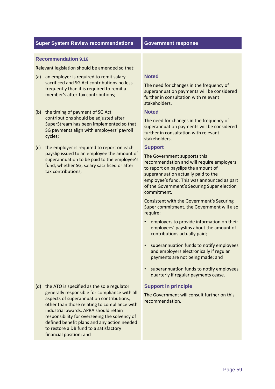#### **Recommendation 9.16**

Relevant legislation should be amended so that:

- (a) an employer is required to remit salary sacrificed and SG Act contributions no less frequently than it is required to remit a member's after‐tax contributions;
- (b) the timing of payment of SG Act contributions should be adjusted after SuperStream has been implemented so that SG payments align with employers' payroll cycles;
- (c) the employer is required to report on each payslip issued to an employee the amount of superannuation to be paid to the employee's fund, whether SG, salary sacrificed or after tax contributions;

 (d) the ATO is specified as the sole regulator generally responsible for compliance with all aspects of superannuation contributions, other than those relating to compliance with industrial awards. APRA should retain responsibility for overseeing the solvency of defined benefit plans and any action needed to restore a DB fund to a satisfactory financial position; and

#### **Noted**

 The need for changes in the frequency of superannuation payments will be considered further in consultation with relevant stakeholders.

#### **Noted**

 The need for changes in the frequency of superannuation payments will be considered further in consultation with relevant stakeholders.

#### **Support**

 The Government supports this recommendation and will require employers to report on payslips the amount of superannuation actually paid to the employee's fund. This was announced as part of the Government's Securing Super election commitment.

 Consistent with the Government's Securing Super commitment, the Government will also require:

- • employers to provide information on their employees' payslips about the amount of contributions actually paid;
- • superannuation funds to notify employees and employers electronically if regular payments are not being made; and
- • superannuation funds to notify employees quarterly if regular payments cease.

#### **Support in principle**

 The Government will consult further on this recommendation.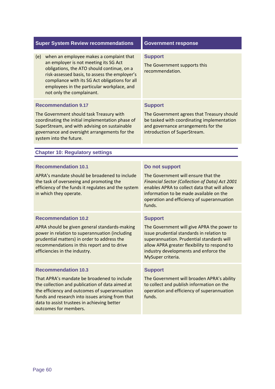| <b>Super System Review recommendations</b>                                                                                                                                                                                                                                                                          | <b>Government response</b>                                                                                                                                                                                                                         |
|---------------------------------------------------------------------------------------------------------------------------------------------------------------------------------------------------------------------------------------------------------------------------------------------------------------------|----------------------------------------------------------------------------------------------------------------------------------------------------------------------------------------------------------------------------------------------------|
| when an employee makes a complaint that<br>(e)<br>an employer is not meeting its SG Act<br>obligations, the ATO should continue, on a<br>risk-assessed basis, to assess the employer's<br>compliance with its SG Act obligations for all<br>employees in the particular workplace, and<br>not only the complainant. | <b>Support</b><br>The Government supports this<br>recommendation.                                                                                                                                                                                  |
| <b>Recommendation 9.17</b>                                                                                                                                                                                                                                                                                          | <b>Support</b>                                                                                                                                                                                                                                     |
| The Government should task Treasury with<br>coordinating the initial implementation phase of<br>SuperStream, and with advising on sustainable<br>governance and oversight arrangements for the<br>system into the future.                                                                                           | The Government agrees that Treasury should<br>be tasked with coordinating implementation<br>and governance arrangements for the<br>introduction of SuperStream.                                                                                    |
| <b>Chapter 10: Regulatory settings</b>                                                                                                                                                                                                                                                                              |                                                                                                                                                                                                                                                    |
|                                                                                                                                                                                                                                                                                                                     |                                                                                                                                                                                                                                                    |
| <b>Recommendation 10.1</b>                                                                                                                                                                                                                                                                                          | Do not support                                                                                                                                                                                                                                     |
| APRA's mandate should be broadened to include<br>the task of overseeing and promoting the<br>efficiency of the funds it regulates and the system<br>in which they operate.                                                                                                                                          | The Government will ensure that the<br>Financial Sector (Collection of Data) Act 2001<br>enables APRA to collect data that will allow<br>information to be made available on the<br>operation and efficiency of superannuation<br>funds.           |
| <b>Recommendation 10.2</b>                                                                                                                                                                                                                                                                                          | <b>Support</b>                                                                                                                                                                                                                                     |
| APRA should be given general standards-making<br>power in relation to superannuation (including<br>prudential matters) in order to address the<br>recommendations in this report and to drive<br>efficiencies in the industry.                                                                                      | The Government will give APRA the power to<br>issue prudential standards in relation to<br>superannuation. Prudential standards will<br>allow APRA greater flexibility to respond to<br>industry developments and enforce the<br>MySuper criteria. |
| <b>Recommendation 10.3</b>                                                                                                                                                                                                                                                                                          | <b>Support</b>                                                                                                                                                                                                                                     |
| That APRA's mandate be broadened to include<br>the collection and publication of data aimed at<br>the efficiency and outcomes of superannuation<br>funds and research into issues arising from that<br>data to assist trustees in achieving better<br>outcomes for members.                                         | The Government will broaden APRA's ability<br>to collect and publish information on the<br>operation and efficiency of superannuation<br>funds.                                                                                                    |
|                                                                                                                                                                                                                                                                                                                     |                                                                                                                                                                                                                                                    |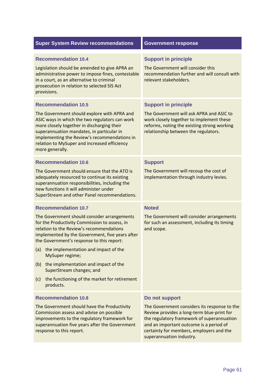| <b>Super System Review recommendations</b>                                                                                                                                                                                                                                                                                                                                                                                                                                              | <b>Government response</b>                                                                                                                                                                                                                                                    |
|-----------------------------------------------------------------------------------------------------------------------------------------------------------------------------------------------------------------------------------------------------------------------------------------------------------------------------------------------------------------------------------------------------------------------------------------------------------------------------------------|-------------------------------------------------------------------------------------------------------------------------------------------------------------------------------------------------------------------------------------------------------------------------------|
| <b>Recommendation 10.4</b><br>Legislation should be amended to give APRA an<br>administrative power to impose fines, contestable<br>in a court, as an alternative to criminal<br>prosecution in relation to selected SIS Act<br>provisions.                                                                                                                                                                                                                                             | <b>Support in principle</b><br>The Government will consider this<br>recommendation further and will consult with<br>relevant stakeholders.                                                                                                                                    |
| <b>Recommendation 10.5</b><br>The Government should explore with APRA and<br>ASIC ways in which the two regulators can work<br>more closely together in discharging their<br>superannuation mandates, in particular in<br>implementing the Review's recommendations in<br>relation to MySuper and increased efficiency<br>more generally.                                                                                                                                               | <b>Support in principle</b><br>The Government will ask APRA and ASIC to<br>work closely together to implement these<br>reforms, noting the existing strong working<br>relationship between the regulators.                                                                    |
| <b>Recommendation 10.6</b><br>The Government should ensure that the ATO is<br>adequately resourced to continue its existing<br>superannuation responsibilities, including the<br>new functions it will administer under<br>SuperStream and other Panel recommendations.                                                                                                                                                                                                                 | <b>Support</b><br>The Government will recoup the cost of<br>implementation through industry levies.                                                                                                                                                                           |
| <b>Recommendation 10.7</b><br>The Government should consider arrangements<br>for the Productivity Commission to assess, in<br>relation to the Review's recommendations<br>implemented by the Government, five years after<br>the Government's response to this report:<br>the implementation and impact of the<br>(a)<br>MySuper regime;<br>the implementation and impact of the<br>(b)<br>SuperStream changes; and<br>the functioning of the market for retirement<br>(c)<br>products. | <b>Noted</b><br>The Government will consider arrangements<br>for such an assessment, including its timing<br>and scope.                                                                                                                                                       |
| <b>Recommendation 10.8</b><br>The Government should have the Productivity<br>Commission assess and advise on possible<br>improvements to the regulatory framework for<br>superannuation five years after the Government<br>response to this report.                                                                                                                                                                                                                                     | Do not support<br>The Government considers its response to the<br>Review provides a long-term blue-print for<br>the regulatory framework of superannuation<br>and an important outcome is a period of<br>certainty for members, employers and the<br>superannuation industry. |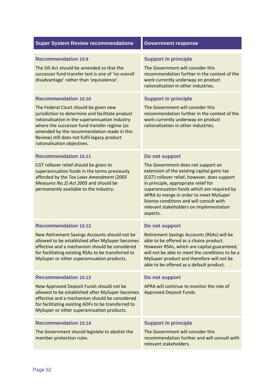| <b>Super System Review recommendations</b>                                                                                                                                                                                                                                                                                                              | <b>Government response</b>                                                                                                                                                                                                                                                                                                                                                             |
|---------------------------------------------------------------------------------------------------------------------------------------------------------------------------------------------------------------------------------------------------------------------------------------------------------------------------------------------------------|----------------------------------------------------------------------------------------------------------------------------------------------------------------------------------------------------------------------------------------------------------------------------------------------------------------------------------------------------------------------------------------|
| <b>Recommendation 10.9</b><br>The SIS Act should be amended so that the<br>successor fund transfer test is one of 'no overall<br>disadvantage' rather than 'equivalence'.                                                                                                                                                                               | <b>Support in principle</b><br>The Government will consider this<br>recommendation further in the context of the<br>work currently underway on product<br>rationalisation in other industries.                                                                                                                                                                                         |
| <b>Recommendation 10.10</b><br>The Federal Court should be given new<br>jurisdiction to determine and facilitate product<br>rationalisation in the superannuation industry<br>where the successor fund transfer regime (as<br>amended by the recommendation made in this<br>Review) still does not fulfil legacy product<br>rationalisation objectives. | <b>Support in principle</b><br>The Government will consider this<br>recommendation further in the context of the<br>work currently underway on product<br>rationalisation in other industries.                                                                                                                                                                                         |
| <b>Recommendation 10.11</b><br>CGT rollover relief should be given to<br>superannuation funds in the terms previously<br>afforded by the Tax Laws Amendment (2005<br>Measures No.2) Act 2005 and should be<br>permanently available to the industry.                                                                                                    | Do not support<br>The Government does not support an<br>extension of the existing capital gains tax<br>(CGT) rollover relief, however, does support<br>in principle, appropriate relief for<br>superannuation funds which are required by<br>APRA to merge in order to meet MySuper<br>licence conditions and will consult with<br>relevant stakeholders on implementation<br>aspects. |
| <b>Recommendation 10.12</b><br>New Retirement Savings Accounts should not be<br>allowed to be established after MySuper becomes<br>effective and a mechanism should be considered<br>for facilitating existing RSAs to be transferred to<br>MySuper or other superannuation products.                                                                   | Do not support<br>Retirement Savings Accounts (RSAs) will be<br>able to be offered as a choice product.<br>However RSAs, which are capital guaranteed,<br>will not be able to meet the conditions to be a<br>MySuper product and therefore will not be<br>able to be offered as a default product.                                                                                     |
| <b>Recommendation 10.13</b><br>New Approved Deposit Funds should not be<br>allowed to be established after MySuper becomes<br>effective and a mechanism should be considered<br>for facilitating existing ADFs to be transferred to<br>MySuper or other superannuation products.                                                                        | Do not support<br>APRA will continue to monitor the role of<br>Approved Deposit Funds.                                                                                                                                                                                                                                                                                                 |
| <b>Recommendation 10.14</b><br>The Government should legislate to abolish the<br>member protection rules.                                                                                                                                                                                                                                               | <b>Support in principle</b><br>The Government will consider this<br>recommendation further and will consult with<br>relevant stakeholders.                                                                                                                                                                                                                                             |